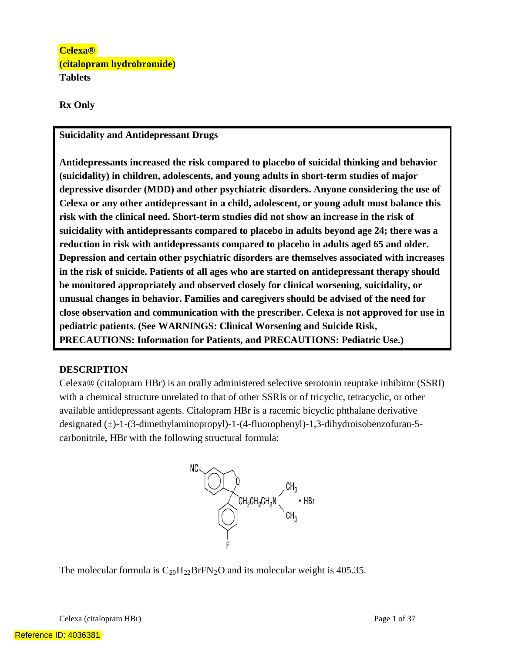**Celexa® (citalopram hydrobromide) Tablets**

**Rx Only**

#### **Suicidality and Antidepressant Drugs**

 **pediatric patients. (See WARNINGS: Clinical Worsening and Suicide Risk, Antidepressants increased the risk compared to placebo of suicidal thinking and behavior (suicidality) in children, adolescents, and young adults in short-term studies of major depressive disorder (MDD) and other psychiatric disorders. Anyone considering the use of Celexa or any other antidepressant in a child, adolescent, or young adult must balance this risk with the clinical need. Short-term studies did not show an increase in the risk of suicidality with antidepressants compared to placebo in adults beyond age 24; there was a reduction in risk with antidepressants compared to placebo in adults aged 65 and older. Depression and certain other psychiatric disorders are themselves associated with increases in the risk of suicide. Patients of all ages who are started on antidepressant therapy should be monitored appropriately and observed closely for clinical worsening, suicidality, or unusual changes in behavior. Families and caregivers should be advised of the need for close observation and communication with the prescriber. Celexa is not approved for use in PRECAUTIONS: Information for Patients, and PRECAUTIONS: Pediatric Use.)** 

## **DESCRIPTION**

Celexa® (citalopram HBr) is an orally administered selective serotonin reuptake inhibitor (SSRI) with a chemical structure unrelated to that of other SSRIs or of tricyclic, tetracyclic, or other available antidepressant agents. Citalopram HBr is a racemic bicyclic phthalane derivative designated (±)-1-(3-dimethylaminopropyl)-1-(4-fluorophenyl)-1,3-dihydroisobenzofuran-5 carbonitrile, HBr with the following structural formula:



The molecular formula is  $C_{20}H_{22}BrFN_{2}O$  and its molecular weight is 405.35.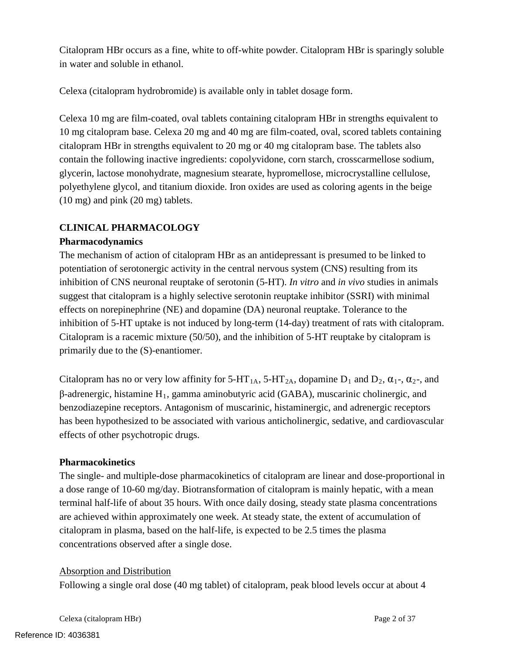Citalopram HBr occurs as a fine, white to off-white powder. Citalopram HBr is sparingly soluble in water and soluble in ethanol.

Celexa (citalopram hydrobromide) is available only in tablet dosage form.

Celexa 10 mg are film-coated, oval tablets containing citalopram HBr in strengths equivalent to 10 mg citalopram base. Celexa 20 mg and 40 mg are film-coated, oval, scored tablets containing citalopram HBr in strengths equivalent to 20 mg or 40 mg citalopram base. The tablets also contain the following inactive ingredients: copolyvidone, corn starch, crosscarmellose sodium, glycerin, lactose monohydrate, magnesium stearate, hypromellose, microcrystalline cellulose, polyethylene glycol, and titanium dioxide. Iron oxides are used as coloring agents in the beige (10 mg) and pink (20 mg) tablets.

## **CLINICAL PHARMACOLOGY**

## **Pharmacodynamics**

 potentiation of serotonergic activity in the central nervous system (CNS) resulting from its inhibition of CNS neuronal reuptake of serotonin (5-HT). *In vitro* and *in vivo* studies in animals The mechanism of action of citalopram HBr as an antidepressant is presumed to be linked to suggest that citalopram is a highly selective serotonin reuptake inhibitor (SSRI) with minimal effects on norepinephrine (NE) and dopamine (DA) neuronal reuptake. Tolerance to the inhibition of 5-HT uptake is not induced by long-term (14-day) treatment of rats with citalopram. Citalopram is a racemic mixture (50/50), and the inhibition of 5-HT reuptake by citalopram is primarily due to the (S)-enantiomer.

Citalopram has no or very low affinity for 5-HT<sub>1A</sub>, 5-HT<sub>2A</sub>, dopamine  $D_1$  and  $D_2$ ,  $\alpha_1$ -,  $\alpha_2$ -, and  $β$ -adrenergic, histamine H<sub>1</sub>, gamma aminobutyric acid (GABA), muscarinic cholinergic, and benzodiazepine receptors. Antagonism of muscarinic, histaminergic, and adrenergic receptors has been hypothesized to be associated with various anticholinergic, sedative, and cardiovascular effects of other psychotropic drugs.

## **Pharmacokinetics**

 citalopram in plasma, based on the half-life, is expected to be 2.5 times the plasma The single- and multiple-dose pharmacokinetics of citalopram are linear and dose-proportional in a dose range of 10-60 mg/day. Biotransformation of citalopram is mainly hepatic, with a mean terminal half-life of about 35 hours. With once daily dosing, steady state plasma concentrations are achieved within approximately one week. At steady state, the extent of accumulation of concentrations observed after a single dose.

## Absorption and Distribution

Following a single oral dose (40 mg tablet) of citalopram, peak blood levels occur at about 4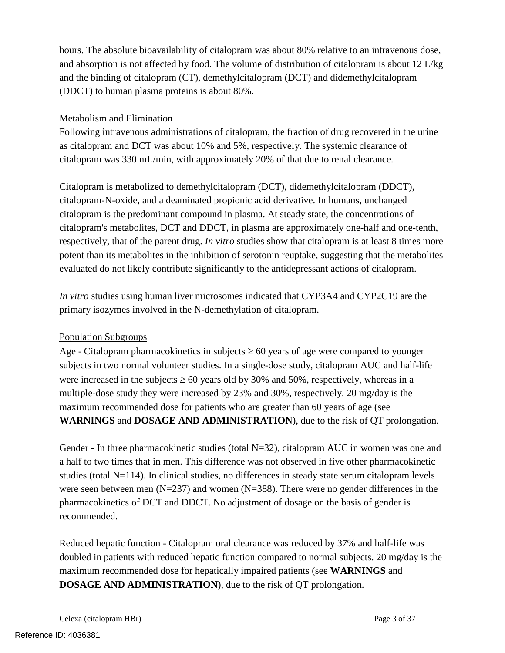hours. The absolute bioavailability of citalopram was about 80% relative to an intravenous dose, and absorption is not affected by food. The volume of distribution of citalopram is about 12 L/kg and the binding of citalopram (CT), demethylcitalopram (DCT) and didemethylcitalopram (DDCT) to human plasma proteins is about 80%.

## Metabolism and Elimination

 citalopram was 330 mL/min, with approximately 20% of that due to renal clearance. Following intravenous administrations of citalopram, the fraction of drug recovered in the urine as citalopram and DCT was about 10% and 5%, respectively. The systemic clearance of

Citalopram is metabolized to demethylcitalopram (DCT), didemethylcitalopram (DDCT), citalopram-N-oxide, and a deaminated propionic acid derivative. In humans, unchanged citalopram is the predominant compound in plasma. At steady state, the concentrations of citalopram's metabolites, DCT and DDCT, in plasma are approximately one-half and one-tenth, respectively, that of the parent drug. *In vitro* studies show that citalopram is at least 8 times more potent than its metabolites in the inhibition of serotonin reuptake, suggesting that the metabolites evaluated do not likely contribute significantly to the antidepressant actions of citalopram.

*In vitro* studies using human liver microsomes indicated that CYP3A4 and CYP2C19 are the primary isozymes involved in the N-demethylation of citalopram.

#### Population Subgroups

Age - Citalopram pharmacokinetics in subjects  $\geq 60$  years of age were compared to younger were increased in the subjects  $\geq 60$  years old by 30% and 50%, respectively, whereas in a maximum recommended dose for patients who are greater than 60 years of age (see subjects in two normal volunteer studies. In a single-dose study, citalopram AUC and half-life multiple-dose study they were increased by 23% and 30%, respectively. 20 mg/day is the **WARNINGS** and **DOSAGE AND ADMINISTRATION**), due to the risk of QT prolongation.

Gender - In three pharmacokinetic studies (total N=32), citalopram AUC in women was one and a half to two times that in men. This difference was not observed in five other pharmacokinetic studies (total N=114). In clinical studies, no differences in steady state serum citalopram levels were seen between men  $(N=237)$  and women  $(N=388)$ . There were no gender differences in the pharmacokinetics of DCT and DDCT. No adjustment of dosage on the basis of gender is recommended.

 Reduced hepatic function - Citalopram oral clearance was reduced by 37% and half-life was doubled in patients with reduced hepatic function compared to normal subjects. 20 mg/day is the maximum recommended dose for hepatically impaired patients (see **WARNINGS** and **DOSAGE AND ADMINISTRATION**), due to the risk of QT prolongation.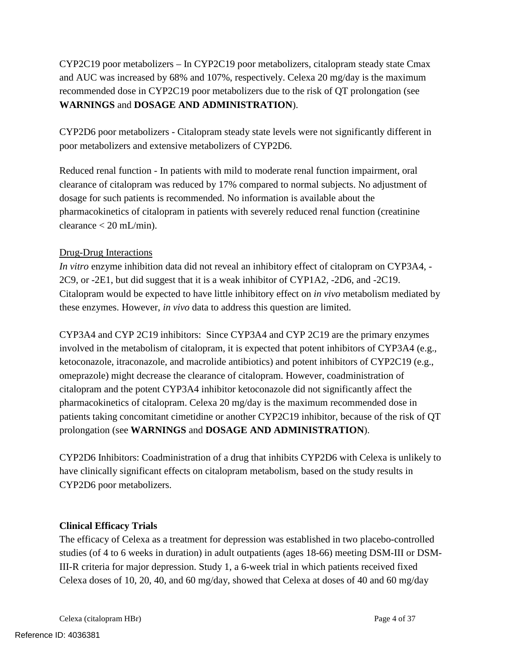CYP2C19 poor metabolizers – In CYP2C19 poor metabolizers, citalopram steady state Cmax and AUC was increased by 68% and 107%, respectively. Celexa 20 mg/day is the maximum recommended dose in CYP2C19 poor metabolizers due to the risk of QT prolongation (see **WARNINGS** and **DOSAGE AND ADMINISTRATION**).

 CYP2D6 poor metabolizers - Citalopram steady state levels were not significantly different in poor metabolizers and extensive metabolizers of CYP2D6.

 Reduced renal function - In patients with mild to moderate renal function impairment, oral pharmacokinetics of citalopram in patients with severely reduced renal function (creatinine clearance of citalopram was reduced by 17% compared to normal subjects. No adjustment of dosage for such patients is recommended. No information is available about the  $clearance < 20$  mL/min).

## Drug-Drug Interactions

*In vitro* enzyme inhibition data did not reveal an inhibitory effect of citalopram on CYP3A4, 2C9, or -2E1, but did suggest that it is a weak inhibitor of CYP1A2, -2D6, and -2C19. Citalopram would be expected to have little inhibitory effect on *in vivo* metabolism mediated by these enzymes. However, *in vivo* data to address this question are limited.

CYP3A4 and CYP 2C19 inhibitors: Since CYP3A4 and CYP 2C19 are the primary enzymes involved in the metabolism of citalopram, it is expected that potent inhibitors of CYP3A4 (e.g., ketoconazole, itraconazole, and macrolide antibiotics) and potent inhibitors of CYP2C19 (e.g., omeprazole) might decrease the clearance of citalopram. However, coadministration of citalopram and the potent CYP3A4 inhibitor ketoconazole did not significantly affect the pharmacokinetics of citalopram. Celexa 20 mg/day is the maximum recommended dose in patients taking concomitant cimetidine or another CYP2C19 inhibitor, because of the risk of QT prolongation (see **WARNINGS** and **DOSAGE AND ADMINISTRATION**).

CYP2D6 Inhibitors: Coadministration of a drug that inhibits CYP2D6 with Celexa is unlikely to have clinically significant effects on citalopram metabolism, based on the study results in CYP2D6 poor metabolizers.

## **Clinical Efficacy Trials**

The efficacy of Celexa as a treatment for depression was established in two placebo-controlled studies (of 4 to 6 weeks in duration) in adult outpatients (ages 18-66) meeting DSM-III or DSM-III-R criteria for major depression. Study 1, a 6-week trial in which patients received fixed Celexa doses of 10, 20, 40, and 60 mg/day, showed that Celexa at doses of 40 and 60 mg/day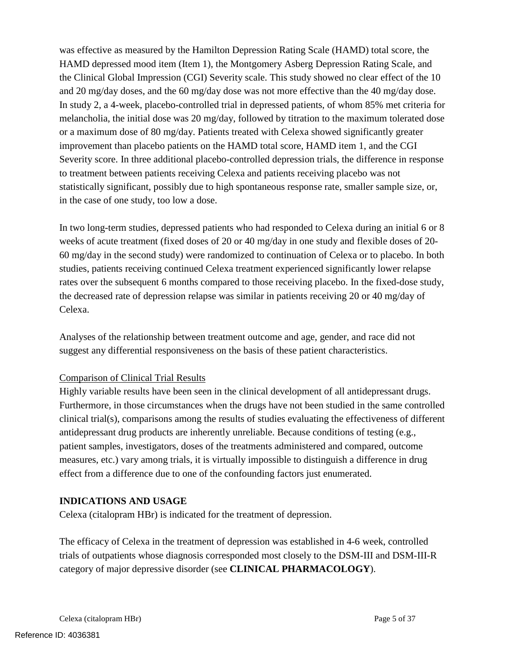HAMD depressed mood item (Item 1), the Montgomery Asberg Depression Rating Scale, and In study 2, a 4-week, placebo-controlled trial in depressed patients, of whom 85% met criteria for was effective as measured by the Hamilton Depression Rating Scale (HAMD) total score, the the Clinical Global Impression (CGI) Severity scale. This study showed no clear effect of the 10 and 20 mg/day doses, and the 60 mg/day dose was not more effective than the 40 mg/day dose. melancholia, the initial dose was 20 mg/day, followed by titration to the maximum tolerated dose or a maximum dose of 80 mg/day. Patients treated with Celexa showed significantly greater improvement than placebo patients on the HAMD total score, HAMD item 1, and the CGI Severity score. In three additional placebo-controlled depression trials, the difference in response to treatment between patients receiving Celexa and patients receiving placebo was not statistically significant, possibly due to high spontaneous response rate, smaller sample size, or, in the case of one study, too low a dose.

Celexa. In two long-term studies, depressed patients who had responded to Celexa during an initial 6 or 8 weeks of acute treatment (fixed doses of 20 or 40 mg/day in one study and flexible doses of 20 60 mg/day in the second study) were randomized to continuation of Celexa or to placebo. In both studies, patients receiving continued Celexa treatment experienced significantly lower relapse rates over the subsequent 6 months compared to those receiving placebo. In the fixed-dose study, the decreased rate of depression relapse was similar in patients receiving 20 or 40 mg/day of

Analyses of the relationship between treatment outcome and age, gender, and race did not suggest any differential responsiveness on the basis of these patient characteristics.

## Comparison of Clinical Trial Results

 clinical trial(s), comparisons among the results of studies evaluating the effectiveness of different Highly variable results have been seen in the clinical development of all antidepressant drugs. Furthermore, in those circumstances when the drugs have not been studied in the same controlled antidepressant drug products are inherently unreliable. Because conditions of testing (e.g., patient samples, investigators, doses of the treatments administered and compared, outcome measures, etc.) vary among trials, it is virtually impossible to distinguish a difference in drug effect from a difference due to one of the confounding factors just enumerated.

## **INDICATIONS AND USAGE**

Celexa (citalopram HBr) is indicated for the treatment of depression.

The efficacy of Celexa in the treatment of depression was established in 4-6 week, controlled trials of outpatients whose diagnosis corresponded most closely to the DSM-III and DSM-III-R category of major depressive disorder (see **CLINICAL PHARMACOLOGY**).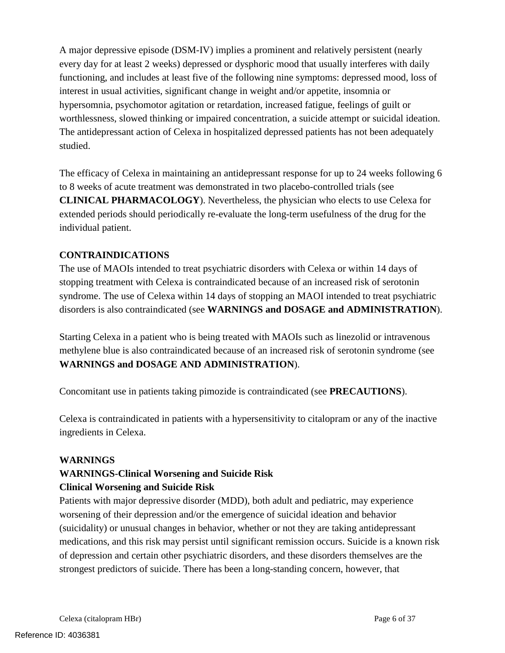hypersomnia, psychomotor agitation or retardation, increased fatigue, feelings of guilt or A major depressive episode (DSM-IV) implies a prominent and relatively persistent (nearly every day for at least 2 weeks) depressed or dysphoric mood that usually interferes with daily functioning, and includes at least five of the following nine symptoms: depressed mood, loss of interest in usual activities, significant change in weight and/or appetite, insomnia or worthlessness, slowed thinking or impaired concentration, a suicide attempt or suicidal ideation. The antidepressant action of Celexa in hospitalized depressed patients has not been adequately studied.

The efficacy of Celexa in maintaining an antidepressant response for up to 24 weeks following 6 to 8 weeks of acute treatment was demonstrated in two placebo-controlled trials (see **CLINICAL PHARMACOLOGY**). Nevertheless, the physician who elects to use Celexa for extended periods should periodically re-evaluate the long-term usefulness of the drug for the individual patient.

## **CONTRAINDICATIONS**

 The use of MAOIs intended to treat psychiatric disorders with Celexa or within 14 days of syndrome. The use of Celexa within 14 days of stopping an MAOI intended to treat psychiatric stopping treatment with Celexa is contraindicated because of an increased risk of serotonin disorders is also contraindicated (see **WARNINGS and DOSAGE and ADMINISTRATION**).

 methylene blue is also contraindicated because of an increased risk of serotonin syndrome (see Starting Celexa in a patient who is being treated with MAOIs such as linezolid or intravenous **WARNINGS and DOSAGE AND ADMINISTRATION**).

Concomitant use in patients taking pimozide is contraindicated (see **PRECAUTIONS**).

Celexa is contraindicated in patients with a hypersensitivity to citalopram or any of the inactive ingredients in Celexa.

## **WARNINGS**

## **WARNINGS-Clinical Worsening and Suicide Risk Clinical Worsening and Suicide Risk**

 Patients with major depressive disorder (MDD), both adult and pediatric, may experience worsening of their depression and/or the emergence of suicidal ideation and behavior (suicidality) or unusual changes in behavior, whether or not they are taking antidepressant medications, and this risk may persist until significant remission occurs. Suicide is a known risk of depression and certain other psychiatric disorders, and these disorders themselves are the strongest predictors of suicide. There has been a long-standing concern, however, that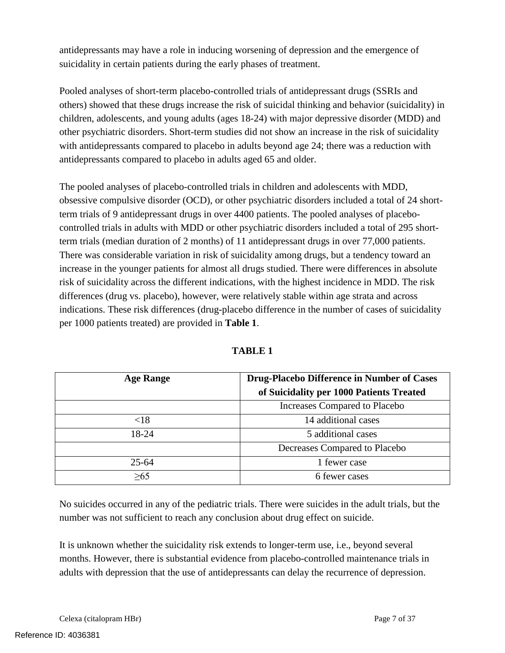antidepressants may have a role in inducing worsening of depression and the emergence of suicidality in certain patients during the early phases of treatment.

Pooled analyses of short-term placebo-controlled trials of antidepressant drugs (SSRIs and others) showed that these drugs increase the risk of suicidal thinking and behavior (suicidality) in children, adolescents, and young adults (ages 18-24) with major depressive disorder (MDD) and other psychiatric disorders. Short-term studies did not show an increase in the risk of suicidality with antidepressants compared to placebo in adults beyond age 24; there was a reduction with antidepressants compared to placebo in adults aged 65 and older.

 differences (drug vs. placebo), however, were relatively stable within age strata and across The pooled analyses of placebo-controlled trials in children and adolescents with MDD, obsessive compulsive disorder (OCD), or other psychiatric disorders included a total of 24 shortterm trials of 9 antidepressant drugs in over 4400 patients. The pooled analyses of placebocontrolled trials in adults with MDD or other psychiatric disorders included a total of 295 shortterm trials (median duration of 2 months) of 11 antidepressant drugs in over 77,000 patients. There was considerable variation in risk of suicidality among drugs, but a tendency toward an increase in the younger patients for almost all drugs studied. There were differences in absolute risk of suicidality across the different indications, with the highest incidence in MDD. The risk indications. These risk differences (drug-placebo difference in the number of cases of suicidality per 1000 patients treated) are provided in **Table 1**.

| <b>Age Range</b> | <b>Drug-Placebo Difference in Number of Cases</b> |  |
|------------------|---------------------------------------------------|--|
|                  | of Suicidality per 1000 Patients Treated          |  |
|                  | Increases Compared to Placebo                     |  |
| ${<}18$          | 14 additional cases                               |  |
| 18-24            | 5 additional cases                                |  |
|                  | Decreases Compared to Placebo                     |  |
| $25 - 64$        | 1 fewer case                                      |  |
| >165             | 6 fewer cases                                     |  |

| п<br>D |  |
|--------|--|
|        |  |

No suicides occurred in any of the pediatric trials. There were suicides in the adult trials, but the number was not sufficient to reach any conclusion about drug effect on suicide.

It is unknown whether the suicidality risk extends to longer-term use, i.e., beyond several months. However, there is substantial evidence from placebo-controlled maintenance trials in adults with depression that the use of antidepressants can delay the recurrence of depression.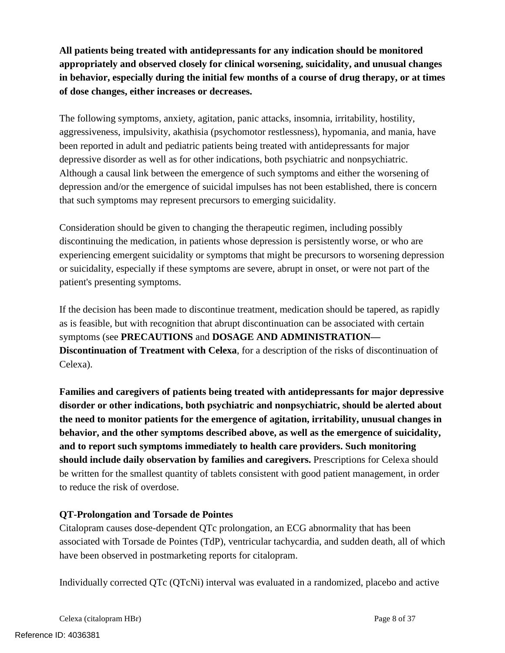**All patients being treated with antidepressants for any indication should be monitored appropriately and observed closely for clinical worsening, suicidality, and unusual changes in behavior, especially during the initial few months of a course of drug therapy, or at times of dose changes, either increases or decreases.** 

The following symptoms, anxiety, agitation, panic attacks, insomnia, irritability, hostility, aggressiveness, impulsivity, akathisia (psychomotor restlessness), hypomania, and mania, have been reported in adult and pediatric patients being treated with antidepressants for major depressive disorder as well as for other indications, both psychiatric and nonpsychiatric. Although a causal link between the emergence of such symptoms and either the worsening of depression and/or the emergence of suicidal impulses has not been established, there is concern that such symptoms may represent precursors to emerging suicidality.

Consideration should be given to changing the therapeutic regimen, including possibly discontinuing the medication, in patients whose depression is persistently worse, or who are experiencing emergent suicidality or symptoms that might be precursors to worsening depression or suicidality, especially if these symptoms are severe, abrupt in onset, or were not part of the patient's presenting symptoms.

If the decision has been made to discontinue treatment, medication should be tapered, as rapidly as is feasible, but with recognition that abrupt discontinuation can be associated with certain symptoms (see **PRECAUTIONS** and **DOSAGE AND ADMINISTRATION— Discontinuation of Treatment with Celexa**, for a description of the risks of discontinuation of Celexa).

**Families and caregivers of patients being treated with antidepressants for major depressive disorder or other indications, both psychiatric and nonpsychiatric, should be alerted about the need to monitor patients for the emergence of agitation, irritability, unusual changes in behavior, and the other symptoms described above, as well as the emergence of suicidality, and to report such symptoms immediately to health care providers. Such monitoring should include daily observation by families and caregivers.** Prescriptions for Celexa should be written for the smallest quantity of tablets consistent with good patient management, in order to reduce the risk of overdose.

## **QT-Prolongation and Torsade de Pointes**

 have been observed in postmarketing reports for citalopram. Citalopram causes dose-dependent QTc prolongation, an ECG abnormality that has been associated with Torsade de Pointes (TdP), ventricular tachycardia, and sudden death, all of which

Individually corrected QTc (QTcNi) interval was evaluated in a randomized, placebo and active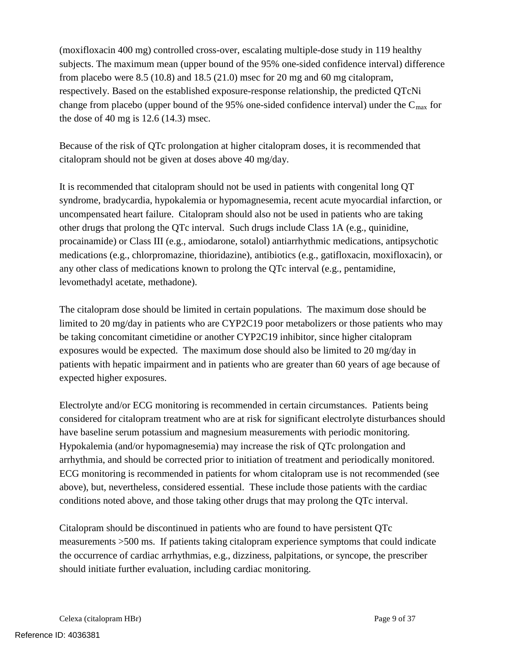the dose of 40 mg is  $12.6$  (14.3) msec. (moxifloxacin 400 mg) controlled cross-over, escalating multiple-dose study in 119 healthy subjects. The maximum mean (upper bound of the 95% one-sided confidence interval) difference from placebo were  $8.5$  (10.8) and  $18.5$  (21.0) msec for 20 mg and 60 mg citalopram, respectively. Based on the established exposure-response relationship, the predicted QTcNi change from placebo (upper bound of the 95% one-sided confidence interval) under the  $C_{\text{max}}$  for

Because of the risk of QTc prolongation at higher citalopram doses, it is recommended that citalopram should not be given at doses above 40 mg/day.

 other drugs that prolong the QTc interval. Such drugs include Class 1A (e.g., quinidine, procainamide) or Class III (e.g., amiodarone, sotalol) antiarrhythmic medications, antipsychotic It is recommended that citalopram should not be used in patients with congenital long QT syndrome, bradycardia, hypokalemia or hypomagnesemia, recent acute myocardial infarction, or uncompensated heart failure. Citalopram should also not be used in patients who are taking medications (e.g., chlorpromazine, thioridazine), antibiotics (e.g., gatifloxacin, moxifloxacin), or any other class of medications known to prolong the QTc interval (e.g., pentamidine, levomethadyl acetate, methadone).

 The citalopram dose should be limited in certain populations. The maximum dose should be exposures would be expected. The maximum dose should also be limited to 20 mg/day in patients with hepatic impairment and in patients who are greater than 60 years of age because of limited to 20 mg/day in patients who are CYP2C19 poor metabolizers or those patients who may be taking concomitant cimetidine or another CYP2C19 inhibitor, since higher citalopram expected higher exposures.

 considered for citalopram treatment who are at risk for significant electrolyte disturbances should Electrolyte and/or ECG monitoring is recommended in certain circumstances. Patients being have baseline serum potassium and magnesium measurements with periodic monitoring. Hypokalemia (and/or hypomagnesemia) may increase the risk of QTc prolongation and arrhythmia, and should be corrected prior to initiation of treatment and periodically monitored. ECG monitoring is recommended in patients for whom citalopram use is not recommended (see above), but, nevertheless, considered essential. These include those patients with the cardiac conditions noted above, and those taking other drugs that may prolong the QTc interval.

 measurements >500 ms. If patients taking citalopram experience symptoms that could indicate Citalopram should be discontinued in patients who are found to have persistent QTc the occurrence of cardiac arrhythmias, e.g., dizziness, palpitations, or syncope, the prescriber should initiate further evaluation, including cardiac monitoring.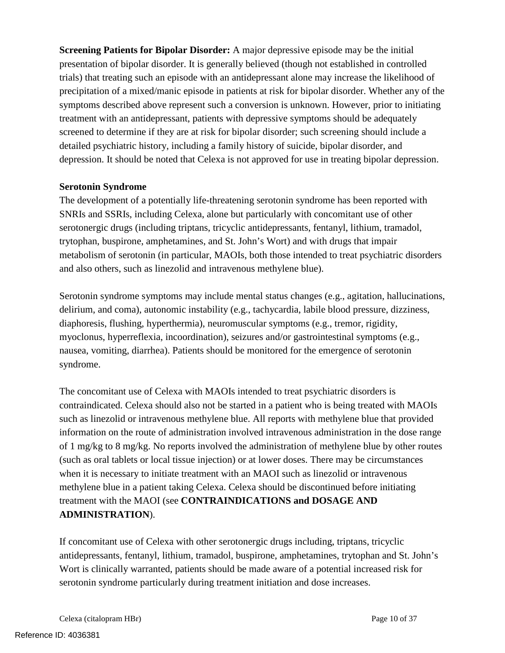screened to determine if they are at risk for bipolar disorder; such screening should include a **Screening Patients for Bipolar Disorder:** A major depressive episode may be the initial presentation of bipolar disorder. It is generally believed (though not established in controlled trials) that treating such an episode with an antidepressant alone may increase the likelihood of precipitation of a mixed/manic episode in patients at risk for bipolar disorder. Whether any of the symptoms described above represent such a conversion is unknown. However, prior to initiating treatment with an antidepressant, patients with depressive symptoms should be adequately detailed psychiatric history, including a family history of suicide, bipolar disorder, and depression. It should be noted that Celexa is not approved for use in treating bipolar depression.

#### **Serotonin Syndrome**

 The development of a potentially life-threatening serotonin syndrome has been reported with SNRIs and SSRIs, including Celexa, alone but particularly with concomitant use of other trytophan, buspirone, amphetamines, and St. John's Wort) and with drugs that impair metabolism of serotonin (in particular, MAOIs, both those intended to treat psychiatric disorders serotonergic drugs (including triptans, tricyclic antidepressants, fentanyl, lithium, tramadol, and also others, such as linezolid and intravenous methylene blue).

 myoclonus, hyperreflexia, incoordination), seizures and/or gastrointestinal symptoms (e.g., Serotonin syndrome symptoms may include mental status changes (e.g., agitation, hallucinations, delirium, and coma), autonomic instability (e.g., tachycardia, labile blood pressure, dizziness, diaphoresis, flushing, hyperthermia), neuromuscular symptoms (e.g., tremor, rigidity, nausea, vomiting, diarrhea). Patients should be monitored for the emergence of serotonin syndrome.

 The concomitant use of Celexa with MAOIs intended to treat psychiatric disorders is contraindicated. Celexa should also not be started in a patient who is being treated with MAOIs such as linezolid or intravenous methylene blue. All reports with methylene blue that provided information on the route of administration involved intravenous administration in the dose range of 1 mg/kg to 8 mg/kg. No reports involved the administration of methylene blue by other routes (such as oral tablets or local tissue injection) or at lower doses. There may be circumstances when it is necessary to initiate treatment with an MAOI such as linezolid or intravenous methylene blue in a patient taking Celexa. Celexa should be discontinued before initiating treatment with the MAOI (see **CONTRAINDICATIONS and DOSAGE AND ADMINISTRATION**).

 If concomitant use of Celexa with other serotonergic drugs including, triptans, tricyclic Wort is clinically warranted, patients should be made aware of a potential increased risk for antidepressants, fentanyl, lithium, tramadol, buspirone, amphetamines, trytophan and St. John's serotonin syndrome particularly during treatment initiation and dose increases.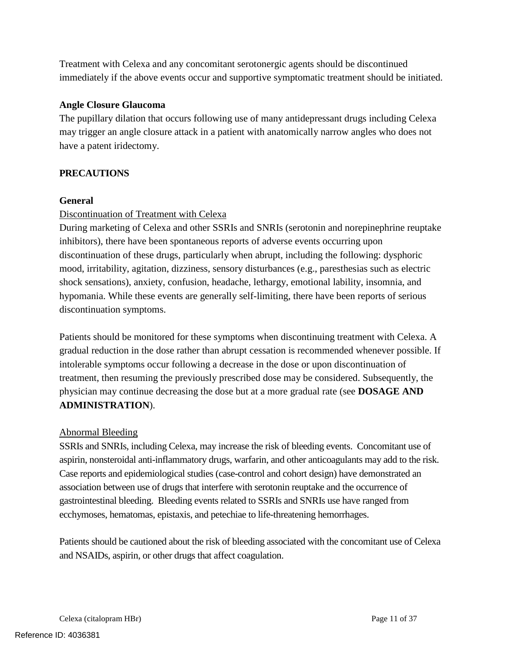immediately if the above events occur and supportive symptomatic treatment should be initiated. Treatment with Celexa and any concomitant serotonergic agents should be discontinued

## **Angle Closure Glaucoma**

 The pupillary dilation that occurs following use of many antidepressant drugs including Celexa may trigger an angle closure attack in a patient with anatomically narrow angles who does not have a patent iridectomy.

## **PRECAUTIONS**

## **General**

## Discontinuation of Treatment with Celexa

 During marketing of Celexa and other SSRIs and SNRIs (serotonin and norepinephrine reuptake inhibitors), there have been spontaneous reports of adverse events occurring upon discontinuation of these drugs, particularly when abrupt, including the following: dysphoric mood, irritability, agitation, dizziness, sensory disturbances (e.g., paresthesias such as electric shock sensations), anxiety, confusion, headache, lethargy, emotional lability, insomnia, and hypomania. While these events are generally self-limiting, there have been reports of serious discontinuation symptoms.

Patients should be monitored for these symptoms when discontinuing treatment with Celexa. A gradual reduction in the dose rather than abrupt cessation is recommended whenever possible. If intolerable symptoms occur following a decrease in the dose or upon discontinuation of treatment, then resuming the previously prescribed dose may be considered. Subsequently, the physician may continue decreasing the dose but at a more gradual rate (see **DOSAGE AND ADMINISTRATION**).

## Abnormal Bleeding

 SSRIs and SNRIs, including Celexa, may increase the risk of bleeding events. Concomitant use of aspirin, nonsteroidal anti-inflammatory drugs, warfarin, and other anticoagulants may add to the risk. Case reports and epidemiological studies (case-control and cohort design) have demonstrated an association between use of drugs that interfere with serotonin reuptake and the occurrence of gastrointestinal bleeding. Bleeding events related to SSRIs and SNRIs use have ranged from ecchymoses, hematomas, epistaxis, and petechiae to life-threatening hemorrhages.

Patients should be cautioned about the risk of bleeding associated with the concomitant use of Celexa and NSAIDs, aspirin, or other drugs that affect coagulation.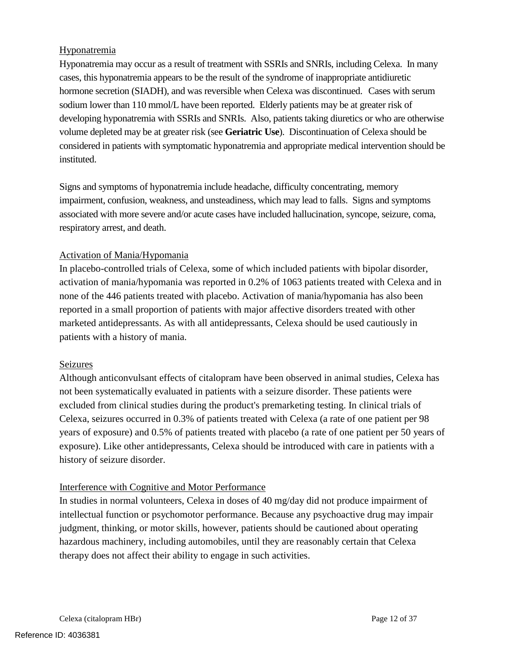## Hyponatremia

 Hyponatremia may occur as a result of treatment with SSRIs and SNRIs, including Celexa. In many hormone secretion (SIADH), and was reversible when Celexa was discontinued. Cases with serum cases, this hyponatremia appears to be the result of the syndrome of inappropriate antidiuretic sodium lower than 110 mmol/L have been reported. Elderly patients may be at greater risk of developing hyponatremia with SSRIs and SNRIs. Also, patients taking diuretics or who are otherwise volume depleted may be at greater risk (see **Geriatric Use**). Discontinuation of Celexa should be considered in patients with symptomatic hyponatremia and appropriate medical intervention should be instituted.

Signs and symptoms of hyponatremia include headache, difficulty concentrating, memory impairment, confusion, weakness, and unsteadiness, which may lead to falls. Signs and symptoms associated with more severe and/or acute cases have included hallucination, syncope, seizure, coma, respiratory arrest, and death.

## Activation of Mania/Hypomania

In placebo-controlled trials of Celexa, some of which included patients with bipolar disorder, activation of mania/hypomania was reported in 0.2% of 1063 patients treated with Celexa and in none of the 446 patients treated with placebo. Activation of mania/hypomania has also been reported in a small proportion of patients with major affective disorders treated with other marketed antidepressants. As with all antidepressants, Celexa should be used cautiously in patients with a history of mania.

## Seizures

 years of exposure) and 0.5% of patients treated with placebo (a rate of one patient per 50 years of Although anticonvulsant effects of citalopram have been observed in animal studies, Celexa has not been systematically evaluated in patients with a seizure disorder. These patients were excluded from clinical studies during the product's premarketing testing. In clinical trials of Celexa, seizures occurred in 0.3% of patients treated with Celexa (a rate of one patient per 98 exposure). Like other antidepressants, Celexa should be introduced with care in patients with a history of seizure disorder.

## Interference with Cognitive and Motor Performance

In studies in normal volunteers, Celexa in doses of 40 mg/day did not produce impairment of intellectual function or psychomotor performance. Because any psychoactive drug may impair judgment, thinking, or motor skills, however, patients should be cautioned about operating hazardous machinery, including automobiles, until they are reasonably certain that Celexa therapy does not affect their ability to engage in such activities.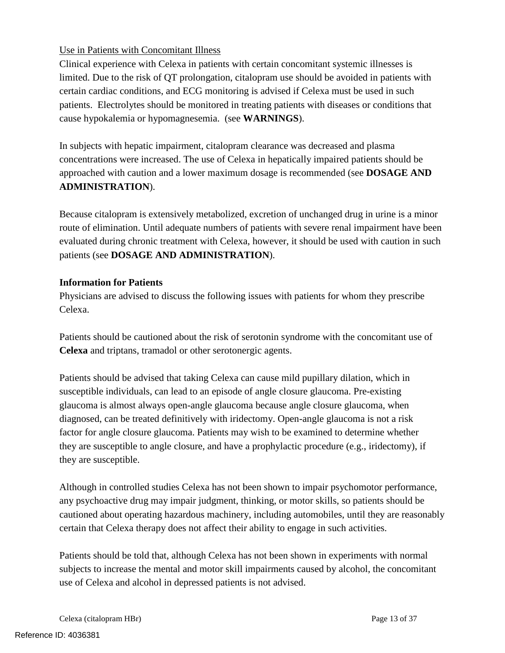## Use in Patients with Concomitant Illness

 cause hypokalemia or hypomagnesemia. (see **WARNINGS**). Clinical experience with Celexa in patients with certain concomitant systemic illnesses is limited. Due to the risk of QT prolongation, citalopram use should be avoided in patients with certain cardiac conditions, and ECG monitoring is advised if Celexa must be used in such patients. Electrolytes should be monitored in treating patients with diseases or conditions that

In subjects with hepatic impairment, citalopram clearance was decreased and plasma concentrations were increased. The use of Celexa in hepatically impaired patients should be approached with caution and a lower maximum dosage is recommended (see **DOSAGE AND ADMINISTRATION**).

 evaluated during chronic treatment with Celexa, however, it should be used with caution in such Because citalopram is extensively metabolized, excretion of unchanged drug in urine is a minor route of elimination. Until adequate numbers of patients with severe renal impairment have been patients (see **DOSAGE AND ADMINISTRATION**).

## **Information for Patients**

Physicians are advised to discuss the following issues with patients for whom they prescribe Celexa.

Patients should be cautioned about the risk of serotonin syndrome with the concomitant use of **Celexa** and triptans, tramadol or other serotonergic agents.

 susceptible individuals, can lead to an episode of angle closure glaucoma. Pre-existing factor for angle closure glaucoma. Patients may wish to be examined to determine whether Patients should be advised that taking Celexa can cause mild pupillary dilation, which in glaucoma is almost always open-angle glaucoma because angle closure glaucoma, when diagnosed, can be treated definitively with iridectomy. Open-angle glaucoma is not a risk they are susceptible to angle closure, and have a prophylactic procedure (e.g., iridectomy), if they are susceptible.

 certain that Celexa therapy does not affect their ability to engage in such activities. Although in controlled studies Celexa has not been shown to impair psychomotor performance, any psychoactive drug may impair judgment, thinking, or motor skills, so patients should be cautioned about operating hazardous machinery, including automobiles, until they are reasonably

 use of Celexa and alcohol in depressed patients is not advised. Patients should be told that, although Celexa has not been shown in experiments with normal subjects to increase the mental and motor skill impairments caused by alcohol, the concomitant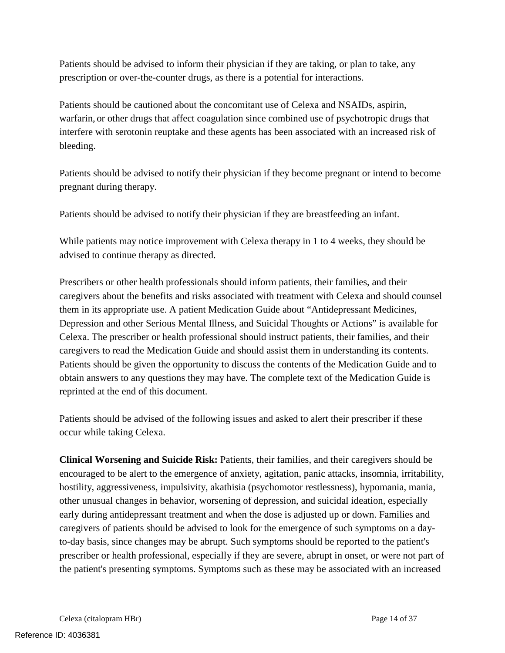Patients should be advised to inform their physician if they are taking, or plan to take, any prescription or over-the-counter drugs, as there is a potential for interactions.

Patients should be cautioned about the concomitant use of Celexa and NSAIDs, aspirin, warfarin, or other drugs that affect coagulation since combined use of psychotropic drugs that interfere with serotonin reuptake and these agents has been associated with an increased risk of bleeding.

Patients should be advised to notify their physician if they become pregnant or intend to become pregnant during therapy.

Patients should be advised to notify their physician if they are breastfeeding an infant.

While patients may notice improvement with Celexa therapy in 1 to 4 weeks, they should be advised to continue therapy as directed.

Prescribers or other health professionals should inform patients, their families, and their caregivers about the benefits and risks associated with treatment with Celexa and should counsel them in its appropriate use. A patient Medication Guide about "Antidepressant Medicines, Depression and other Serious Mental Illness, and Suicidal Thoughts or Actions" is available for Celexa. The prescriber or health professional should instruct patients, their families, and their caregivers to read the Medication Guide and should assist them in understanding its contents. Patients should be given the opportunity to discuss the contents of the Medication Guide and to obtain answers to any questions they may have. The complete text of the Medication Guide is reprinted at the end of this document.

Patients should be advised of the following issues and asked to alert their prescriber if these occur while taking Celexa.

**Clinical Worsening and Suicide Risk:** Patients, their families, and their caregivers should be encouraged to be alert to the emergence of anxiety, agitation, panic attacks, insomnia, irritability, hostility, aggressiveness, impulsivity, akathisia (psychomotor restlessness), hypomania, mania, other unusual changes in behavior, worsening of depression, and suicidal ideation, especially early during antidepressant treatment and when the dose is adjusted up or down. Families and caregivers of patients should be advised to look for the emergence of such symptoms on a dayto-day basis, since changes may be abrupt. Such symptoms should be reported to the patient's prescriber or health professional, especially if they are severe, abrupt in onset, or were not part of the patient's presenting symptoms. Symptoms such as these may be associated with an increased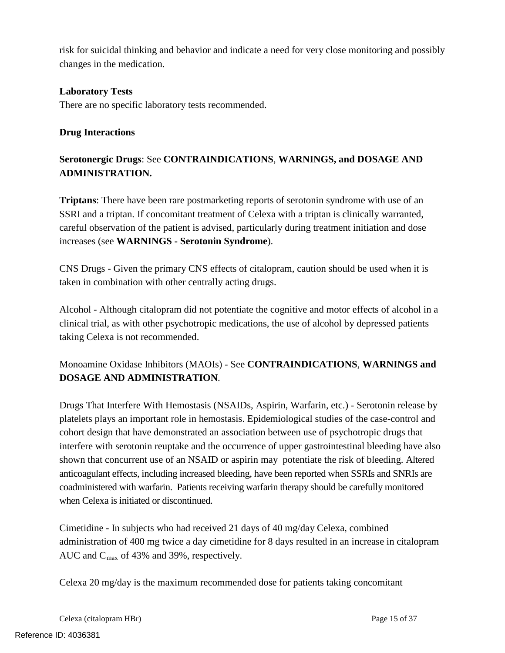risk for suicidal thinking and behavior and indicate a need for very close monitoring and possibly changes in the medication.

## **Laboratory Tests**

There are no specific laboratory tests recommended.

## **Drug Interactions**

# **ADMINISTRATION. Serotonergic Drugs**: See **CONTRAINDICATIONS**, **WARNINGS, and DOSAGE AND**

 SSRI and a triptan. If concomitant treatment of Celexa with a triptan is clinically warranted, **Triptans**: There have been rare postmarketing reports of serotonin syndrome with use of an careful observation of the patient is advised, particularly during treatment initiation and dose increases (see **WARNINGS - Serotonin Syndrome**).

CNS Drugs - Given the primary CNS effects of citalopram, caution should be used when it is taken in combination with other centrally acting drugs.

 Alcohol - Although citalopram did not potentiate the cognitive and motor effects of alcohol in a clinical trial, as with other psychotropic medications, the use of alcohol by depressed patients taking Celexa is not recommended.

# Monoamine Oxidase Inhibitors (MAOIs) - See **CONTRAINDICATIONS**, **WARNINGS and DOSAGE AND ADMINISTRATION**.

 Drugs That Interfere With Hemostasis (NSAIDs, Aspirin, Warfarin, etc.) - Serotonin release by platelets plays an important role in hemostasis. Epidemiological studies of the case-control and cohort design that have demonstrated an association between use of psychotropic drugs that interfere with serotonin reuptake and the occurrence of upper gastrointestinal bleeding have also shown that concurrent use of an NSAID or aspirin may potentiate the risk of bleeding. Altered anticoagulant effects, including increased bleeding, have been reported when SSRIs and SNRIs are coadministered with warfarin. Patients receiving warfarin therapy should be carefully monitored when Celexa is initiated or discontinued.

AUC and  $C_{\text{max}}$  of 43% and 39%, respectively. Cimetidine - In subjects who had received 21 days of 40 mg/day Celexa, combined administration of 400 mg twice a day cimetidine for 8 days resulted in an increase in citalopram

Celexa 20 mg/day is the maximum recommended dose for patients taking concomitant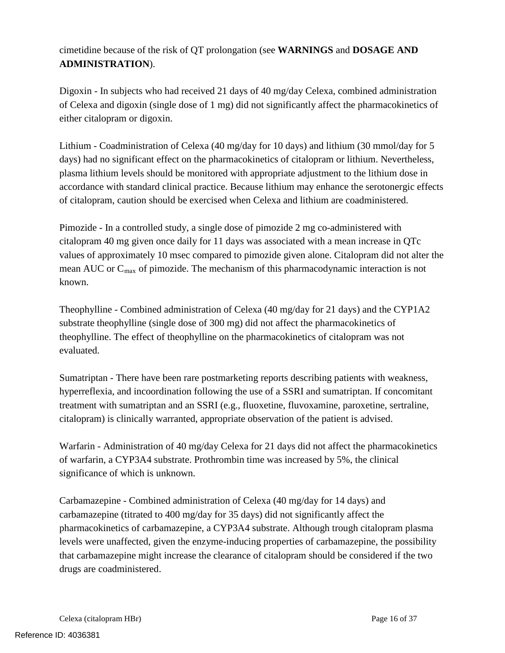# cimetidine because of the risk of QT prolongation (see **WARNINGS** and **DOSAGE AND ADMINISTRATION**).

Digoxin - In subjects who had received 21 days of 40 mg/day Celexa, combined administration of Celexa and digoxin (single dose of 1 mg) did not significantly affect the pharmacokinetics of either citalopram or digoxin.

 Lithium - Coadministration of Celexa (40 mg/day for 10 days) and lithium (30 mmol/day for 5 days) had no significant effect on the pharmacokinetics of citalopram or lithium. Nevertheless, plasma lithium levels should be monitored with appropriate adjustment to the lithium dose in accordance with standard clinical practice. Because lithium may enhance the serotonergic effects of citalopram, caution should be exercised when Celexa and lithium are coadministered.

 citalopram 40 mg given once daily for 11 days was associated with a mean increase in QTc Pimozide - In a controlled study, a single dose of pimozide 2 mg co-administered with values of approximately 10 msec compared to pimozide given alone. Citalopram did not alter the mean AUC or  $C_{\text{max}}$  of pimozide. The mechanism of this pharmacodynamic interaction is not known.

 Theophylline - Combined administration of Celexa (40 mg/day for 21 days) and the CYP1A2 theophylline. The effect of theophylline on the pharmacokinetics of citalopram was not substrate theophylline (single dose of 300 mg) did not affect the pharmacokinetics of evaluated.

Sumatriptan - There have been rare postmarketing reports describing patients with weakness, hyperreflexia, and incoordination following the use of a SSRI and sumatriptan. If concomitant treatment with sumatriptan and an SSRI (e.g., fluoxetine, fluvoxamine, paroxetine, sertraline, citalopram) is clinically warranted, appropriate observation of the patient is advised.

 significance of which is unknown. Warfarin - Administration of 40 mg/day Celexa for 21 days did not affect the pharmacokinetics of warfarin, a CYP3A4 substrate. Prothrombin time was increased by 5%, the clinical

Carbamazepine - Combined administration of Celexa (40 mg/day for 14 days) and carbamazepine (titrated to 400 mg/day for 35 days) did not significantly affect the pharmacokinetics of carbamazepine, a CYP3A4 substrate. Although trough citalopram plasma levels were unaffected, given the enzyme-inducing properties of carbamazepine, the possibility that carbamazepine might increase the clearance of citalopram should be considered if the two drugs are coadministered.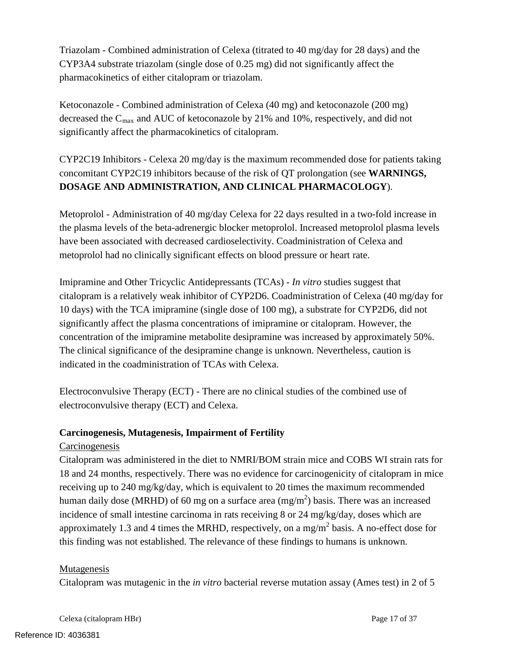Triazolam - Combined administration of Celexa (titrated to 40 mg/day for 28 days) and the CYP3A4 substrate triazolam (single dose of 0.25 mg) did not significantly affect the pharmacokinetics of either citalopram or triazolam.

Ketoconazole - Combined administration of Celexa (40 mg) and ketoconazole (200 mg) decreased the  $C_{\text{max}}$  and AUC of ketoconazole by 21% and 10%, respectively, and did not significantly affect the pharmacokinetics of citalopram.

CYP2C19 Inhibitors - Celexa 20 mg/day is the maximum recommended dose for patients taking concomitant CYP2C19 inhibitors because of the risk of QT prolongation (see **WARNINGS, DOSAGE AND ADMINISTRATION, AND CLINICAL PHARMACOLOGY**).

 Metoprolol - Administration of 40 mg/day Celexa for 22 days resulted in a two-fold increase in metoprolol had no clinically significant effects on blood pressure or heart rate. the plasma levels of the beta-adrenergic blocker metoprolol. Increased metoprolol plasma levels have been associated with decreased cardioselectivity. Coadministration of Celexa and

 Imipramine and Other Tricyclic Antidepressants (TCAs) - *In vitro* studies suggest that citalopram is a relatively weak inhibitor of CYP2D6. Coadministration of Celexa (40 mg/day for 10 days) with the TCA imipramine (single dose of 100 mg), a substrate for CYP2D6, did not significantly affect the plasma concentrations of imipramine or citalopram. However, the concentration of the imipramine metabolite desipramine was increased by approximately 50%. The clinical significance of the desipramine change is unknown. Nevertheless, caution is indicated in the coadministration of TCAs with Celexa.

 Electroconvulsive Therapy (ECT) - There are no clinical studies of the combined use of electroconvulsive therapy (ECT) and Celexa.

## **Carcinogenesis, Mutagenesis, Impairment of Fertility**

## **Carcinogenesis**

Citalopram was administered in the diet to NMRI/BOM strain mice and COBS WI strain rats for 18 and 24 months, respectively. There was no evidence for carcinogenicity of citalopram in mice receiving up to 240 mg/kg/day, which is equivalent to 20 times the maximum recommended human daily dose (MRHD) of 60 mg on a surface area (mg/m<sup>2</sup>) basis. There was an increased incidence of small intestine carcinoma in rats receiving 8 or 24 mg/kg/day, doses which are approximately 1.3 and 4 times the MRHD, respectively, on a mg/m<sup>2</sup> basis. A no-effect dose for this finding was not established. The relevance of these findings to humans is unknown.

## Mutagenesis

Citalopram was mutagenic in the *in vitro* bacterial reverse mutation assay (Ames test) in 2 of 5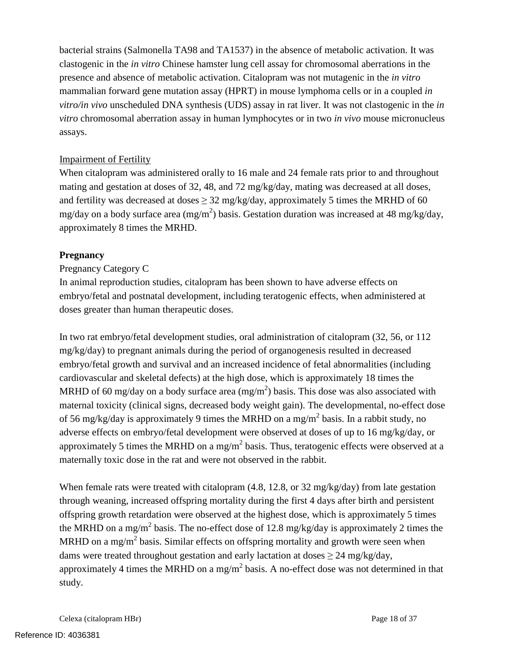clastogenic in the *in vitro* Chinese hamster lung cell assay for chromosomal aberrations in the presence and absence of metabolic activation. Citalopram was not mutagenic in the *in vitro* bacterial strains (Salmonella TA98 and TA1537) in the absence of metabolic activation. It was mammalian forward gene mutation assay (HPRT) in mouse lymphoma cells or in a coupled *in vitro/in vivo* unscheduled DNA synthesis (UDS) assay in rat liver. It was not clastogenic in the *in vitro* chromosomal aberration assay in human lymphocytes or in two *in vivo* mouse micronucleus assays.

## Impairment of Fertility

When citalopram was administered orally to 16 male and 24 female rats prior to and throughout mating and gestation at doses of 32, 48, and 72 mg/kg/day, mating was decreased at all doses, and fertility was decreased at doses  $> 32$  mg/kg/day, approximately 5 times the MRHD of 60 mg/day on a body surface area (mg/m<sup>2</sup>) basis. Gestation duration was increased at 48 mg/kg/day, approximately 8 times the MRHD.

## **Pregnancy**

## Pregnancy Category C

In animal reproduction studies, citalopram has been shown to have adverse effects on embryo/fetal and postnatal development, including teratogenic effects, when administered at doses greater than human therapeutic doses.

 maternal toxicity (clinical signs, decreased body weight gain). The developmental, no-effect dose In two rat embryo/fetal development studies, oral administration of citalopram (32, 56, or 112 mg/kg/day) to pregnant animals during the period of organogenesis resulted in decreased embryo/fetal growth and survival and an increased incidence of fetal abnormalities (including cardiovascular and skeletal defects) at the high dose, which is approximately 18 times the MRHD of 60 mg/day on a body surface area  $(mg/m^2)$  basis. This dose was also associated with of 56 mg/kg/day is approximately 9 times the MRHD on a mg/m<sup>2</sup> basis. In a rabbit study, no adverse effects on embryo/fetal development were observed at doses of up to 16 mg/kg/day, or approximately 5 times the MRHD on a mg/m<sup>2</sup> basis. Thus, teratogenic effects were observed at a maternally toxic dose in the rat and were not observed in the rabbit.

When female rats were treated with citalopram (4.8, 12.8, or 32 mg/kg/day) from late gestation through weaning, increased offspring mortality during the first 4 days after birth and persistent offspring growth retardation were observed at the highest dose, which is approximately 5 times the MRHD on a mg/m<sup>2</sup> basis. The no-effect dose of 12.8 mg/kg/day is approximately 2 times the MRHD on a mg/m<sup>2</sup> basis. Similar effects on offspring mortality and growth were seen when dams were treated throughout gestation and early lactation at doses  $> 24$  mg/kg/day, approximately 4 times the MRHD on a mg/m<sup>2</sup> basis. A no-effect dose was not determined in that study.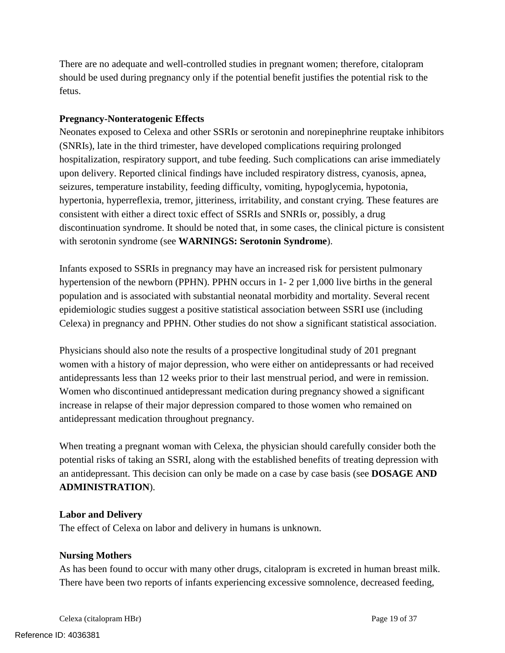There are no adequate and well-controlled studies in pregnant women; therefore, citalopram should be used during pregnancy only if the potential benefit justifies the potential risk to the fetus.

#### **Pregnancy-Nonteratogenic Effects**

 hypertonia, hyperreflexia, tremor, jitteriness, irritability, and constant crying. These features are Neonates exposed to Celexa and other SSRIs or serotonin and norepinephrine reuptake inhibitors (SNRIs), late in the third trimester, have developed complications requiring prolonged hospitalization, respiratory support, and tube feeding. Such complications can arise immediately upon delivery. Reported clinical findings have included respiratory distress, cyanosis, apnea, seizures, temperature instability, feeding difficulty, vomiting, hypoglycemia, hypotonia, consistent with either a direct toxic effect of SSRIs and SNRIs or, possibly, a drug discontinuation syndrome. It should be noted that, in some cases, the clinical picture is consistent with serotonin syndrome (see **WARNINGS: Serotonin Syndrome**).

Infants exposed to SSRIs in pregnancy may have an increased risk for persistent pulmonary hypertension of the newborn (PPHN). PPHN occurs in 1- 2 per 1,000 live births in the general population and is associated with substantial neonatal morbidity and mortality. Several recent epidemiologic studies suggest a positive statistical association between SSRI use (including Celexa) in pregnancy and PPHN. Other studies do not show a significant statistical association.

 increase in relapse of their major depression compared to those women who remained on Physicians should also note the results of a prospective longitudinal study of 201 pregnant women with a history of major depression, who were either on antidepressants or had received antidepressants less than 12 weeks prior to their last menstrual period, and were in remission. Women who discontinued antidepressant medication during pregnancy showed a significant antidepressant medication throughout pregnancy.

 potential risks of taking an SSRI, along with the established benefits of treating depression with When treating a pregnant woman with Celexa, the physician should carefully consider both the an antidepressant. This decision can only be made on a case by case basis (see **DOSAGE AND ADMINISTRATION**).

## **Labor and Delivery**

The effect of Celexa on labor and delivery in humans is unknown.

## **Nursing Mothers**

As has been found to occur with many other drugs, citalopram is excreted in human breast milk. There have been two reports of infants experiencing excessive somnolence, decreased feeding,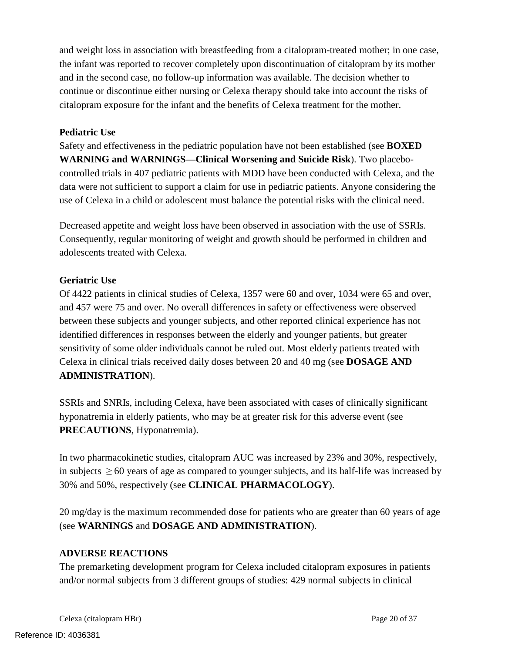and weight loss in association with breastfeeding from a citalopram-treated mother; in one case, the infant was reported to recover completely upon discontinuation of citalopram by its mother and in the second case, no follow-up information was available. The decision whether to continue or discontinue either nursing or Celexa therapy should take into account the risks of citalopram exposure for the infant and the benefits of Celexa treatment for the mother.

#### **Pediatric Use**

Safety and effectiveness in the pediatric population have not been established (see **BOXED WARNING and WARNINGS—Clinical Worsening and Suicide Risk**). Two placebocontrolled trials in 407 pediatric patients with MDD have been conducted with Celexa, and the data were not sufficient to support a claim for use in pediatric patients. Anyone considering the use of Celexa in a child or adolescent must balance the potential risks with the clinical need.

Decreased appetite and weight loss have been observed in association with the use of SSRIs. Consequently, regular monitoring of weight and growth should be performed in children and adolescents treated with Celexa.

#### **Geriatric Use**

Of 4422 patients in clinical studies of Celexa, 1357 were 60 and over, 1034 were 65 and over, and 457 were 75 and over. No overall differences in safety or effectiveness were observed between these subjects and younger subjects, and other reported clinical experience has not identified differences in responses between the elderly and younger patients, but greater sensitivity of some older individuals cannot be ruled out. Most elderly patients treated with Celexa in clinical trials received daily doses between 20 and 40 mg (see **DOSAGE AND ADMINISTRATION**).

SSRIs and SNRIs, including Celexa, have been associated with cases of clinically significant hyponatremia in elderly patients, who may be at greater risk for this adverse event (see **PRECAUTIONS**, Hyponatremia).

in subjects  $\geq 60$  years of age as compared to younger subjects, and its half-life was increased by In two pharmacokinetic studies, citalopram AUC was increased by 23% and 30%, respectively, 30% and 50%, respectively (see **CLINICAL PHARMACOLOGY**).

 20 mg/day is the maximum recommended dose for patients who are greater than 60 years of age (see **WARNINGS** and **DOSAGE AND ADMINISTRATION**).

## **ADVERSE REACTIONS**

 and/or normal subjects from 3 different groups of studies: 429 normal subjects in clinical The premarketing development program for Celexa included citalopram exposures in patients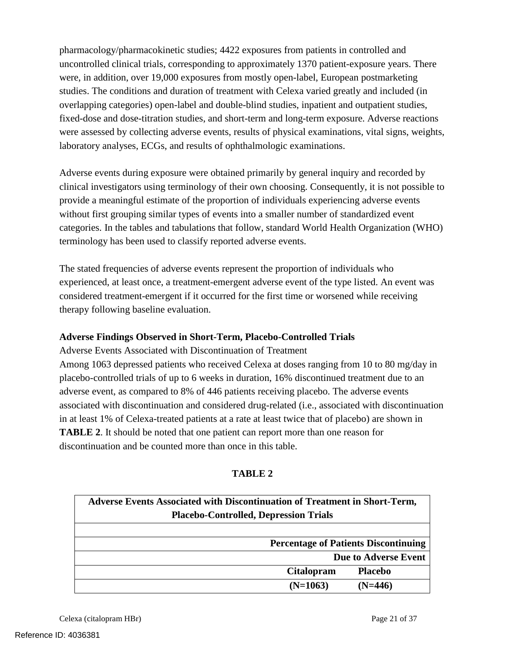pharmacology/pharmacokinetic studies; 4422 exposures from patients in controlled and uncontrolled clinical trials, corresponding to approximately 1370 patient-exposure years. There were, in addition, over 19,000 exposures from mostly open-label, European postmarketing studies. The conditions and duration of treatment with Celexa varied greatly and included (in overlapping categories) open-label and double-blind studies, inpatient and outpatient studies, fixed-dose and dose-titration studies, and short-term and long-term exposure. Adverse reactions were assessed by collecting adverse events, results of physical examinations, vital signs, weights, laboratory analyses, ECGs, and results of ophthalmologic examinations.

 provide a meaningful estimate of the proportion of individuals experiencing adverse events Adverse events during exposure were obtained primarily by general inquiry and recorded by clinical investigators using terminology of their own choosing. Consequently, it is not possible to without first grouping similar types of events into a smaller number of standardized event categories. In the tables and tabulations that follow, standard World Health Organization (WHO) terminology has been used to classify reported adverse events.

The stated frequencies of adverse events represent the proportion of individuals who experienced, at least once, a treatment-emergent adverse event of the type listed. An event was considered treatment-emergent if it occurred for the first time or worsened while receiving therapy following baseline evaluation.

## **Adverse Findings Observed in Short-Term, Placebo-Controlled Trials**

Adverse Events Associated with Discontinuation of Treatment

 adverse event, as compared to 8% of 446 patients receiving placebo. The adverse events Among 1063 depressed patients who received Celexa at doses ranging from 10 to 80 mg/day in placebo-controlled trials of up to 6 weeks in duration, 16% discontinued treatment due to an associated with discontinuation and considered drug-related (i.e., associated with discontinuation in at least 1% of Celexa-treated patients at a rate at least twice that of placebo) are shown in **TABLE 2**. It should be noted that one patient can report more than one reason for discontinuation and be counted more than once in this table.

#### **TABLE 2**

| Adverse Events Associated with Discontinuation of Treatment in Short-Term, |                                             |
|----------------------------------------------------------------------------|---------------------------------------------|
| <b>Placebo-Controlled, Depression Trials</b>                               |                                             |
|                                                                            |                                             |
|                                                                            | <b>Percentage of Patients Discontinuing</b> |
| <b>Due to Adverse Event</b>                                                |                                             |
| <b>Citalopram</b>                                                          | <b>Placebo</b>                              |
| $(N=1063)$                                                                 | $(N=446)$                                   |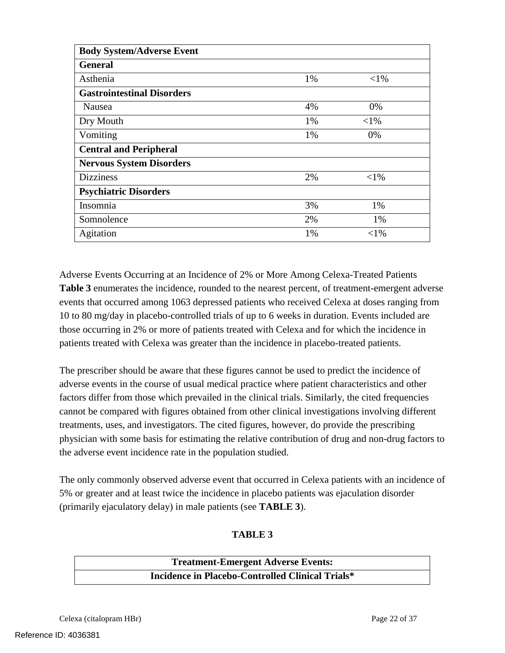| <b>Body System/Adverse Event</b>  |    |          |
|-----------------------------------|----|----------|
| <b>General</b>                    |    |          |
| Asthenia                          | 1% | ${<}1\%$ |
| <b>Gastrointestinal Disorders</b> |    |          |
| <b>Nausea</b>                     | 4% | 0%       |
| Dry Mouth                         | 1% | $< 1\%$  |
| Vomiting                          | 1% | 0%       |
| <b>Central and Peripheral</b>     |    |          |
| <b>Nervous System Disorders</b>   |    |          |
| <b>Dizziness</b>                  | 2% | ${<}1\%$ |
| <b>Psychiatric Disorders</b>      |    |          |
| Insomnia                          | 3% | 1%       |
| Somnolence                        | 2% | 1%       |
| Agitation                         | 1% | $<$ 1%   |

 Adverse Events Occurring at an Incidence of 2% or More Among Celexa-Treated Patients **Table 3** enumerates the incidence, rounded to the nearest percent, of treatment-emergent adverse events that occurred among 1063 depressed patients who received Celexa at doses ranging from 10 to 80 mg/day in placebo-controlled trials of up to 6 weeks in duration. Events included are those occurring in 2% or more of patients treated with Celexa and for which the incidence in patients treated with Celexa was greater than the incidence in placebo-treated patients.

The prescriber should be aware that these figures cannot be used to predict the incidence of adverse events in the course of usual medical practice where patient characteristics and other factors differ from those which prevailed in the clinical trials. Similarly, the cited frequencies cannot be compared with figures obtained from other clinical investigations involving different treatments, uses, and investigators. The cited figures, however, do provide the prescribing physician with some basis for estimating the relative contribution of drug and non-drug factors to the adverse event incidence rate in the population studied.

 5% or greater and at least twice the incidence in placebo patients was ejaculation disorder The only commonly observed adverse event that occurred in Celexa patients with an incidence of (primarily ejaculatory delay) in male patients (see **TABLE 3**).

## **TABLE 3**

| <b>Treatment-Emergent Adverse Events:</b>        |  |
|--------------------------------------------------|--|
| Incidence in Placebo-Controlled Clinical Trials* |  |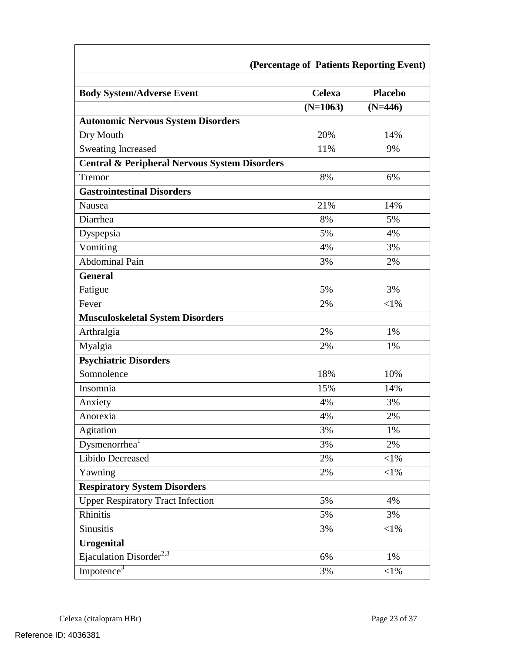|                                                          |               | (Percentage of Patients Reporting Event) |
|----------------------------------------------------------|---------------|------------------------------------------|
| <b>Body System/Adverse Event</b>                         | <b>Celexa</b> | <b>Placebo</b>                           |
|                                                          | $(N=1063)$    | $(N=446)$                                |
| <b>Autonomic Nervous System Disorders</b>                |               |                                          |
| Dry Mouth                                                | 20%           | 14%                                      |
| <b>Sweating Increased</b>                                | 11%           | 9%                                       |
| <b>Central &amp; Peripheral Nervous System Disorders</b> |               |                                          |
| Tremor                                                   | 8%            | 6%                                       |
| <b>Gastrointestinal Disorders</b>                        |               |                                          |
| Nausea                                                   | 21%           | 14%                                      |
| Diarrhea                                                 | 8%            | 5%                                       |
| Dyspepsia                                                | 5%            | 4%                                       |
| Vomiting                                                 | 4%            | 3%                                       |
| <b>Abdominal Pain</b>                                    | 3%            | 2%                                       |
| <b>General</b>                                           |               |                                          |
| Fatigue                                                  | 5%            | 3%                                       |
| Fever                                                    | 2%            | $<$ 1%                                   |
| <b>Musculoskeletal System Disorders</b>                  |               |                                          |
| Arthralgia                                               | 2%            | 1%                                       |
| Myalgia                                                  | 2%            | 1%                                       |
| <b>Psychiatric Disorders</b>                             |               |                                          |
| Somnolence                                               | 18%           | 10%                                      |
| Insomnia                                                 | 15%           | 14%                                      |
| Anxiety                                                  | 4%            | 3%                                       |
| Anorexia                                                 | 4%            | 2%                                       |
| Agitation                                                | 3%            | 1%                                       |
| Dysmenorrhea <sup>1</sup>                                | 3%            | 2%                                       |
| Libido Decreased                                         | 2%            | $<$ 1%                                   |
| Yawning                                                  | 2%            | $<$ 1%                                   |
| <b>Respiratory System Disorders</b>                      |               |                                          |
| <b>Upper Respiratory Tract Infection</b>                 | 5%            | 4%                                       |
| Rhinitis                                                 | 5%            | 3%                                       |
| <b>Sinusitis</b>                                         | 3%            | $<$ 1%                                   |
| <b>Urogenital</b>                                        |               |                                          |
| Ejaculation Disorder <sup>2,3</sup>                      | 6%            | 1%                                       |
| Impotence <sup>3</sup>                                   | 3%            | $<$ 1%                                   |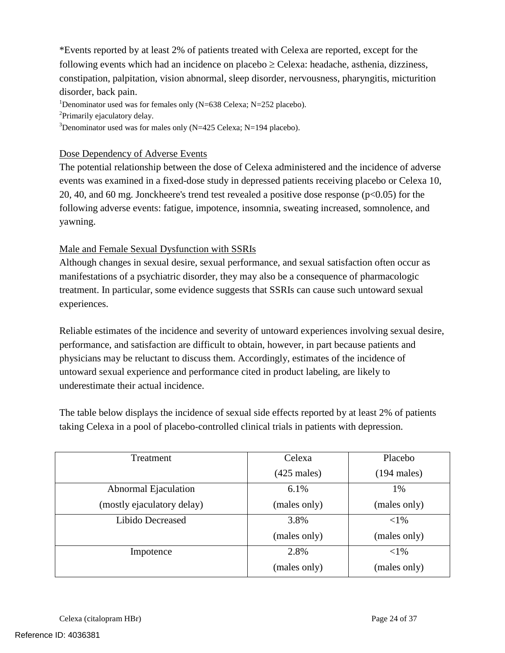\*Events reported by at least 2% of patients treated with Celexa are reported, except for the following events which had an incidence on placebo  $\geq$  Celexa: headache, asthenia, dizziness, constipation, palpitation, vision abnormal, sleep disorder, nervousness, pharyngitis, micturition disorder, back pain.

<sup>1</sup>Denominator used was for females only (N=638 Celexa; N=252 placebo).

<sup>2</sup>Primarily ejaculatory delay.

<sup>3</sup>Denominator used was for males only (N=425 Celexa; N=194 placebo).

## Dose Dependency of Adverse Events

 20, 40, and 60 mg. Jonckheere's trend test revealed a positive dose response (p<0.05) for the The potential relationship between the dose of Celexa administered and the incidence of adverse events was examined in a fixed-dose study in depressed patients receiving placebo or Celexa 10, following adverse events: fatigue, impotence, insomnia, sweating increased, somnolence, and yawning.

## Male and Female Sexual Dysfunction with SSRIs

Although changes in sexual desire, sexual performance, and sexual satisfaction often occur as manifestations of a psychiatric disorder, they may also be a consequence of pharmacologic treatment. In particular, some evidence suggests that SSRIs can cause such untoward sexual experiences.

 Reliable estimates of the incidence and severity of untoward experiences involving sexual desire, performance, and satisfaction are difficult to obtain, however, in part because patients and physicians may be reluctant to discuss them. Accordingly, estimates of the incidence of untoward sexual experience and performance cited in product labeling, are likely to underestimate their actual incidence.

The table below displays the incidence of sexual side effects reported by at least 2% of patients taking Celexa in a pool of placebo-controlled clinical trials in patients with depression.

| Treatment                   | Celexa                | Placebo               |
|-----------------------------|-----------------------|-----------------------|
|                             | $(425 \text{ males})$ | $(194 \text{ males})$ |
| <b>Abnormal Ejaculation</b> | 6.1%                  | 1%                    |
| (mostly ejaculatory delay)  | (males only)          | (males only)          |
| Libido Decreased            | 3.8%                  | ${<}1\%$              |
|                             | (males only)          | (males only)          |
| Impotence                   | 2.8%                  | $<$ 1%                |
|                             | (males only)          | (males only)          |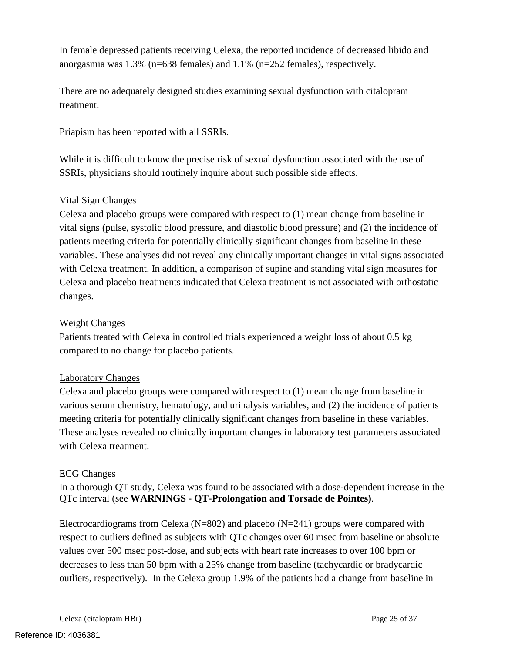In female depressed patients receiving Celexa, the reported incidence of decreased libido and anorgasmia was 1.3% (n=638 females) and 1.1% (n=252 females), respectively.

There are no adequately designed studies examining sexual dysfunction with citalopram treatment.

Priapism has been reported with all SSRIs.

While it is difficult to know the precise risk of sexual dysfunction associated with the use of SSRIs, physicians should routinely inquire about such possible side effects.

## Vital Sign Changes

 patients meeting criteria for potentially clinically significant changes from baseline in these Celexa and placebo groups were compared with respect to (1) mean change from baseline in vital signs (pulse, systolic blood pressure, and diastolic blood pressure) and (2) the incidence of variables. These analyses did not reveal any clinically important changes in vital signs associated with Celexa treatment. In addition, a comparison of supine and standing vital sign measures for Celexa and placebo treatments indicated that Celexa treatment is not associated with orthostatic changes.

## Weight Changes

Patients treated with Celexa in controlled trials experienced a weight loss of about 0.5 kg compared to no change for placebo patients.

## Laboratory Changes

 meeting criteria for potentially clinically significant changes from baseline in these variables. with Celexa treatment.<br>ECG Changes Celexa and placebo groups were compared with respect to (1) mean change from baseline in various serum chemistry, hematology, and urinalysis variables, and (2) the incidence of patients These analyses revealed no clinically important changes in laboratory test parameters associated

 QTc interval (see **WARNINGS - QT-Prolongation and Torsade de Pointes)**. In a thorough QT study, Celexa was found to be associated with a dose-dependent increase in the

 outliers, respectively). In the Celexa group 1.9% of the patients had a change from baseline in Electrocardiograms from Celexa ( $N=802$ ) and placebo ( $N=241$ ) groups were compared with respect to outliers defined as subjects with QTc changes over 60 msec from baseline or absolute values over 500 msec post-dose, and subjects with heart rate increases to over 100 bpm or decreases to less than 50 bpm with a 25% change from baseline (tachycardic or bradycardic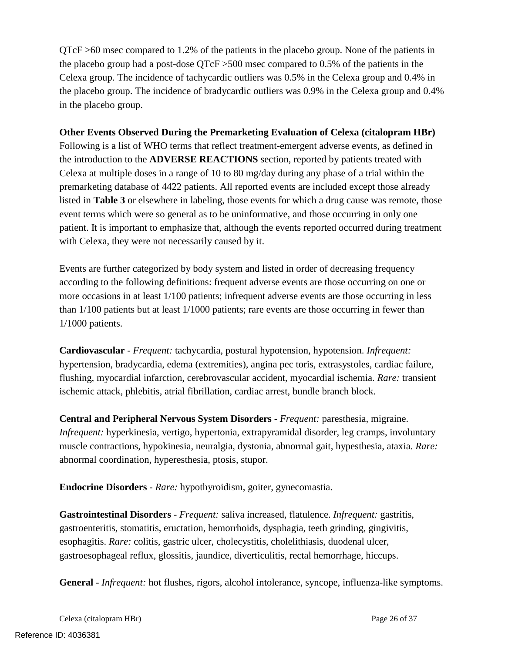QTcF >60 msec compared to 1.2% of the patients in the placebo group. None of the patients in the placebo group. The incidence of bradycardic outliers was 0.9% in the Celexa group and 0.4% the placebo group had a post-dose QTcF >500 msec compared to 0.5% of the patients in the Celexa group. The incidence of tachycardic outliers was 0.5% in the Celexa group and 0.4% in in the placebo group.

## **Other Events Observed During the Premarketing Evaluation of Celexa (citalopram HBr)**

 listed in **Table 3** or elsewhere in labeling, those events for which a drug cause was remote, those Following is a list of WHO terms that reflect treatment-emergent adverse events, as defined in the introduction to the **ADVERSE REACTIONS** section, reported by patients treated with Celexa at multiple doses in a range of 10 to 80 mg/day during any phase of a trial within the premarketing database of 4422 patients. All reported events are included except those already event terms which were so general as to be uninformative, and those occurring in only one patient. It is important to emphasize that, although the events reported occurred during treatment with Celexa, they were not necessarily caused by it.

 Events are further categorized by body system and listed in order of decreasing frequency according to the following definitions: frequent adverse events are those occurring on one or more occasions in at least 1/100 patients; infrequent adverse events are those occurring in less than 1/100 patients but at least 1/1000 patients; rare events are those occurring in fewer than 1/1000 patients.

 **Cardiovascular** - *Frequent:* tachycardia, postural hypotension, hypotension. *Infrequent:*  flushing, myocardial infarction, cerebrovascular accident, myocardial ischemia. *Rare:* transient hypertension, bradycardia, edema (extremities), angina pec toris, extrasystoles, cardiac failure, ischemic attack, phlebitis, atrial fibrillation, cardiac arrest, bundle branch block.

 **Central and Peripheral Nervous System Disorders** - *Frequent:* paresthesia, migraine. *Infrequent:* hyperkinesia, vertigo, hypertonia, extrapyramidal disorder, leg cramps, involuntary muscle contractions, hypokinesia, neuralgia, dystonia, abnormal gait, hypesthesia, ataxia. *Rare:*  abnormal coordination, hyperesthesia, ptosis, stupor.

**Endocrine Disorders** - *Rare:* hypothyroidism, goiter, gynecomastia.

 **Gastrointestinal Disorders** - *Frequent:* saliva increased, flatulence. *Infrequent:* gastritis, gastroenteritis, stomatitis, eructation, hemorrhoids, dysphagia, teeth grinding, gingivitis, esophagitis. *Rare:* colitis, gastric ulcer, cholecystitis, cholelithiasis, duodenal ulcer, gastroesophageal reflux, glossitis, jaundice, diverticulitis, rectal hemorrhage, hiccups.

**General** - *Infrequent:* hot flushes, rigors, alcohol intolerance, syncope, influenza-like symptoms.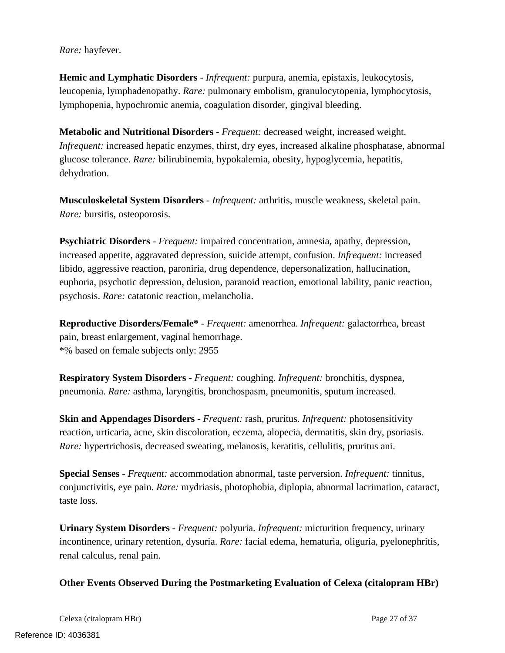*Rare:* hayfever.

 **Hemic and Lymphatic Disorders** - *Infrequent:* purpura, anemia, epistaxis, leukocytosis, leucopenia, lymphadenopathy. *Rare:* pulmonary embolism, granulocytopenia, lymphocytosis, lymphopenia, hypochromic anemia, coagulation disorder, gingival bleeding.

 **Metabolic and Nutritional Disorders** - *Frequent:* decreased weight, increased weight. *Infrequent:* increased hepatic enzymes, thirst, dry eyes, increased alkaline phosphatase, abnormal glucose tolerance. *Rare:* bilirubinemia, hypokalemia, obesity, hypoglycemia, hepatitis, dehydration.

 **Musculoskeletal System Disorders** - *Infrequent:* arthritis, muscle weakness, skeletal pain. *Rare:* bursitis, osteoporosis.

 **Psychiatric Disorders** - *Frequent:* impaired concentration, amnesia, apathy, depression, increased appetite, aggravated depression, suicide attempt, confusion. *Infrequent:* increased libido, aggressive reaction, paroniria, drug dependence, depersonalization, hallucination, euphoria, psychotic depression, delusion, paranoid reaction, emotional lability, panic reaction, psychosis. *Rare:* catatonic reaction, melancholia.

 **Reproductive Disorders/Female\*** - *Frequent:* amenorrhea. *Infrequent:* galactorrhea, breast pain, breast enlargement, vaginal hemorrhage. \*% based on female subjects only: 2955

 **Respiratory System Disorders** - *Frequent:* coughing. *Infrequent:* bronchitis, dyspnea, pneumonia. *Rare:* asthma, laryngitis, bronchospasm, pneumonitis, sputum increased.

**Skin and Appendages Disorders** - *Frequent:* rash, pruritus. *Infrequent:* photosensitivity reaction, urticaria, acne, skin discoloration, eczema, alopecia, dermatitis, skin dry, psoriasis. *Rare:* hypertrichosis, decreased sweating, melanosis, keratitis, cellulitis, pruritus ani.

 **Special Senses** - *Frequent:* accommodation abnormal, taste perversion. *Infrequent:* tinnitus, conjunctivitis, eye pain. *Rare:* mydriasis, photophobia, diplopia, abnormal lacrimation, cataract, taste loss.

 **Urinary System Disorders** - *Frequent:* polyuria. *Infrequent:* micturition frequency, urinary incontinence, urinary retention, dysuria. *Rare:* facial edema, hematuria, oliguria, pyelonephritis, renal calculus, renal pain.

**Other Events Observed During the Postmarketing Evaluation of Celexa (citalopram HBr)** 

Celexa (citalopram HBr) Page 27 of 37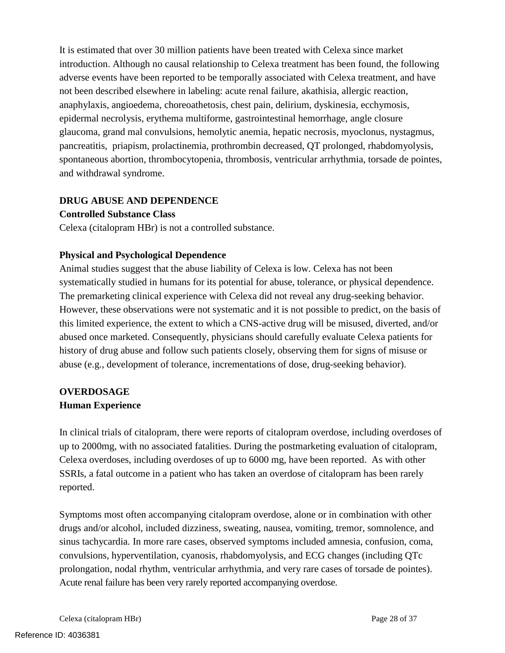It is estimated that over 30 million patients have been treated with Celexa since market introduction. Although no causal relationship to Celexa treatment has been found, the following adverse events have been reported to be temporally associated with Celexa treatment, and have not been described elsewhere in labeling: acute renal failure, akathisia, allergic reaction, anaphylaxis, angioedema, choreoathetosis, chest pain, delirium, dyskinesia, ecchymosis, epidermal necrolysis, erythema multiforme, gastrointestinal hemorrhage, angle closure glaucoma, grand mal convulsions, hemolytic anemia, hepatic necrosis, myoclonus, nystagmus, pancreatitis, priapism, prolactinemia, prothrombin decreased, QT prolonged, rhabdomyolysis, spontaneous abortion, thrombocytopenia, thrombosis, ventricular arrhythmia, torsade de pointes, and withdrawal syndrome.

## **DRUG ABUSE AND DEPENDENCE**

## **Controlled Substance Class**

Celexa (citalopram HBr) is not a controlled substance.

## **Physical and Psychological Dependence**

 abused once marketed. Consequently, physicians should carefully evaluate Celexa patients for history of drug abuse and follow such patients closely, observing them for signs of misuse or Animal studies suggest that the abuse liability of Celexa is low. Celexa has not been systematically studied in humans for its potential for abuse, tolerance, or physical dependence. The premarketing clinical experience with Celexa did not reveal any drug-seeking behavior. However, these observations were not systematic and it is not possible to predict, on the basis of this limited experience, the extent to which a CNS-active drug will be misused, diverted, and/or abuse (e.g., development of tolerance, incrementations of dose, drug-seeking behavior).

# **OVERDOSAGE Human Experience**

In clinical trials of citalopram, there were reports of citalopram overdose, including overdoses of up to 2000mg, with no associated fatalities. During the postmarketing evaluation of citalopram, Celexa overdoses, including overdoses of up to 6000 mg, have been reported. As with other SSRIs, a fatal outcome in a patient who has taken an overdose of citalopram has been rarely reported.

Symptoms most often accompanying citalopram overdose, alone or in combination with other drugs and/or alcohol, included dizziness, sweating, nausea, vomiting, tremor, somnolence, and sinus tachycardia. In more rare cases, observed symptoms included amnesia, confusion, coma, convulsions, hyperventilation, cyanosis, rhabdomyolysis, and ECG changes (including QTc prolongation, nodal rhythm, ventricular arrhythmia, and very rare cases of torsade de pointes). Acute renal failure has been very rarely reported accompanying overdose.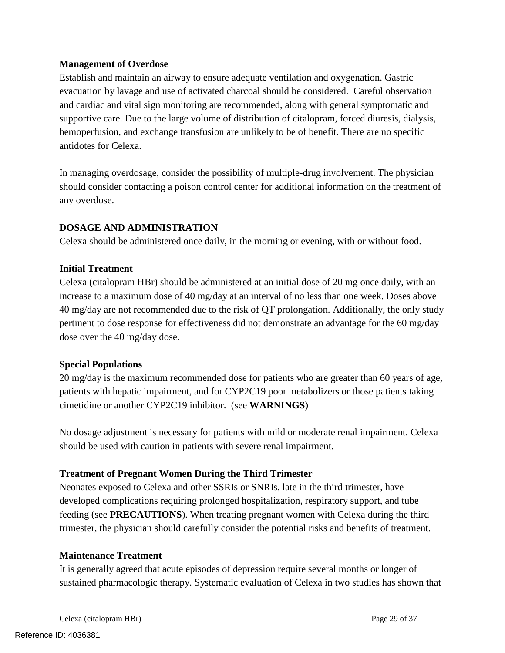#### **Management of Overdose**

Establish and maintain an airway to ensure adequate ventilation and oxygenation. Gastric evacuation by lavage and use of activated charcoal should be considered. Careful observation and cardiac and vital sign monitoring are recommended, along with general symptomatic and supportive care. Due to the large volume of distribution of citalopram, forced diuresis, dialysis, hemoperfusion, and exchange transfusion are unlikely to be of benefit. There are no specific antidotes for Celexa.

In managing overdosage, consider the possibility of multiple-drug involvement. The physician should consider contacting a poison control center for additional information on the treatment of any overdose.

## **DOSAGE AND ADMINISTRATION**

Celexa should be administered once daily, in the morning or evening, with or without food.

## **Initial Treatment**

 dose over the 40 mg/day dose. Celexa (citalopram HBr) should be administered at an initial dose of 20 mg once daily, with an increase to a maximum dose of 40 mg/day at an interval of no less than one week. Doses above 40 mg/day are not recommended due to the risk of QT prolongation. Additionally, the only study pertinent to dose response for effectiveness did not demonstrate an advantage for the 60 mg/day

## **Special Populations**

 20 mg/day is the maximum recommended dose for patients who are greater than 60 years of age, cimetidine or another CYP2C19 inhibitor. (see **WARNINGS**) patients with hepatic impairment, and for CYP2C19 poor metabolizers or those patients taking

No dosage adjustment is necessary for patients with mild or moderate renal impairment. Celexa should be used with caution in patients with severe renal impairment.

## **Treatment of Pregnant Women During the Third Trimester**

 trimester, the physician should carefully consider the potential risks and benefits of treatment. Neonates exposed to Celexa and other SSRIs or SNRIs, late in the third trimester, have developed complications requiring prolonged hospitalization, respiratory support, and tube feeding (see **PRECAUTIONS**). When treating pregnant women with Celexa during the third

## **Maintenance Treatment**

It is generally agreed that acute episodes of depression require several months or longer of sustained pharmacologic therapy. Systematic evaluation of Celexa in two studies has shown that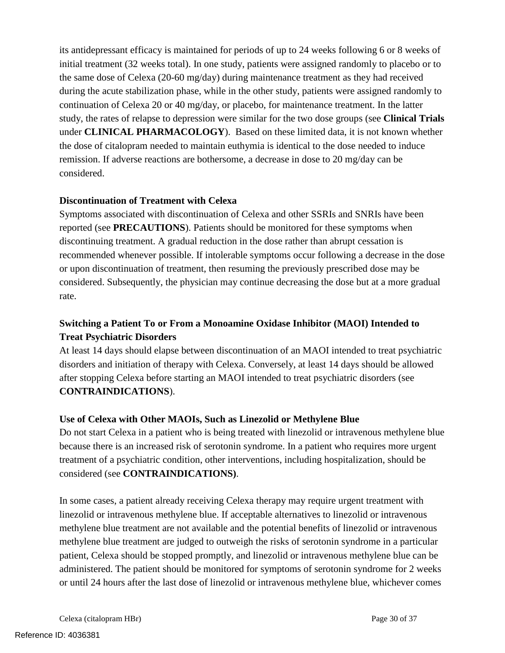study, the rates of relapse to depression were similar for the two dose groups (see **Clinical Trials**  remission. If adverse reactions are bothersome, a decrease in dose to 20 mg/day can be its antidepressant efficacy is maintained for periods of up to 24 weeks following 6 or 8 weeks of initial treatment (32 weeks total). In one study, patients were assigned randomly to placebo or to the same dose of Celexa (20-60 mg/day) during maintenance treatment as they had received during the acute stabilization phase, while in the other study, patients were assigned randomly to continuation of Celexa 20 or 40 mg/day, or placebo, for maintenance treatment. In the latter under **CLINICAL PHARMACOLOGY**). Based on these limited data, it is not known whether the dose of citalopram needed to maintain euthymia is identical to the dose needed to induce considered.

## **Discontinuation of Treatment with Celexa**

 discontinuing treatment. A gradual reduction in the dose rather than abrupt cessation is considered. Subsequently, the physician may continue decreasing the dose but at a more gradual Symptoms associated with discontinuation of Celexa and other SSRIs and SNRIs have been reported (see **PRECAUTIONS**). Patients should be monitored for these symptoms when recommended whenever possible. If intolerable symptoms occur following a decrease in the dose or upon discontinuation of treatment, then resuming the previously prescribed dose may be rate.

# **Switching a Patient To or From a Monoamine Oxidase Inhibitor (MAOI) Intended to Treat Psychiatric Disorders**

At least 14 days should elapse between discontinuation of an MAOI intended to treat psychiatric disorders and initiation of therapy with Celexa. Conversely, at least 14 days should be allowed after stopping Celexa before starting an MAOI intended to treat psychiatric disorders (see **CONTRAINDICATIONS**).

## **Use of Celexa with Other MAOIs, Such as Linezolid or Methylene Blue**

 Do not start Celexa in a patient who is being treated with linezolid or intravenous methylene blue because there is an increased risk of serotonin syndrome. In a patient who requires more urgent treatment of a psychiatric condition, other interventions, including hospitalization, should be considered (see **CONTRAINDICATIONS)**.

 administered. The patient should be monitored for symptoms of serotonin syndrome for 2 weeks In some cases, a patient already receiving Celexa therapy may require urgent treatment with linezolid or intravenous methylene blue. If acceptable alternatives to linezolid or intravenous methylene blue treatment are not available and the potential benefits of linezolid or intravenous methylene blue treatment are judged to outweigh the risks of serotonin syndrome in a particular patient, Celexa should be stopped promptly, and linezolid or intravenous methylene blue can be or until 24 hours after the last dose of linezolid or intravenous methylene blue, whichever comes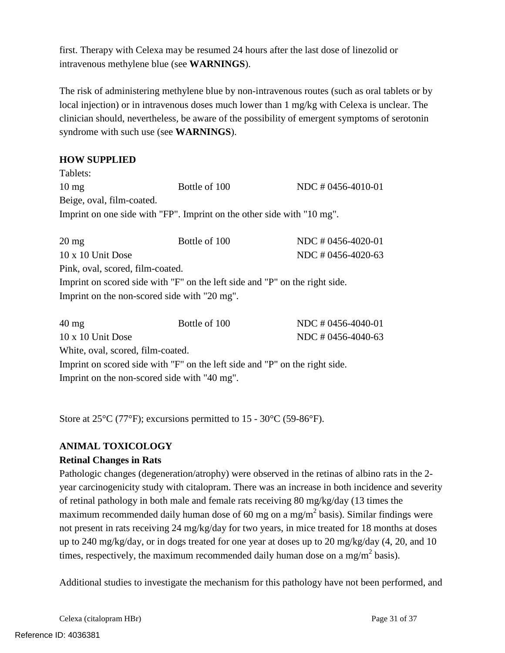first. Therapy with Celexa may be resumed 24 hours after the last dose of linezolid or intravenous methylene blue (see **WARNINGS**).

The risk of administering methylene blue by non-intravenous routes (such as oral tablets or by local injection) or in intravenous doses much lower than 1 mg/kg with Celexa is unclear. The clinician should, nevertheless, be aware of the possibility of emergent symptoms of serotonin syndrome with such use (see **WARNINGS**).

## **HOW SUPPLIED**

| Bottle of 100                                                          | NDC # 0456-4010-01                                                                                                                                              |  |  |
|------------------------------------------------------------------------|-----------------------------------------------------------------------------------------------------------------------------------------------------------------|--|--|
|                                                                        |                                                                                                                                                                 |  |  |
| Imprint on one side with "FP". Imprint on the other side with "10 mg". |                                                                                                                                                                 |  |  |
|                                                                        |                                                                                                                                                                 |  |  |
| Bottle of 100                                                          | NDC # 0456-4020-01                                                                                                                                              |  |  |
|                                                                        | NDC # 0456-4020-63                                                                                                                                              |  |  |
|                                                                        |                                                                                                                                                                 |  |  |
|                                                                        |                                                                                                                                                                 |  |  |
|                                                                        |                                                                                                                                                                 |  |  |
|                                                                        |                                                                                                                                                                 |  |  |
| Bottle of 100                                                          | NDC # 0456-4040-01                                                                                                                                              |  |  |
|                                                                        | NDC # 0456-4040-63                                                                                                                                              |  |  |
|                                                                        | Pink, oval, scored, film-coated.<br>Imprint on scored side with "F" on the left side and "P" on the right side.<br>Imprint on the non-scored side with "20 mg". |  |  |

 Imprint on scored side with "F" on the left side and "P" on the right side. Imprint on the non-scored side with "40 mg".

Store at 25<sup>o</sup>C (77<sup>o</sup>F); excursions permitted to 15 - 30<sup>o</sup>C (59-86<sup>o</sup>F).

## **ANIMAL TOXICOLOGY**

White, oval, scored, film-coated.

## **Retinal Changes in Rats**

times, respectively, the maximum recommended daily human dose on a mg/m<sup>2</sup> basis). Pathologic changes (degeneration/atrophy) were observed in the retinas of albino rats in the 2year carcinogenicity study with citalopram. There was an increase in both incidence and severity of retinal pathology in both male and female rats receiving 80 mg/kg/day (13 times the maximum recommended daily human dose of 60 mg on a mg/m<sup>2</sup> basis). Similar findings were not present in rats receiving 24 mg/kg/day for two years, in mice treated for 18 months at doses up to 240 mg/kg/day, or in dogs treated for one year at doses up to 20 mg/kg/day (4, 20, and 10

Additional studies to investigate the mechanism for this pathology have not been performed, and

Celexa (citalopram HBr) Page 31 of 37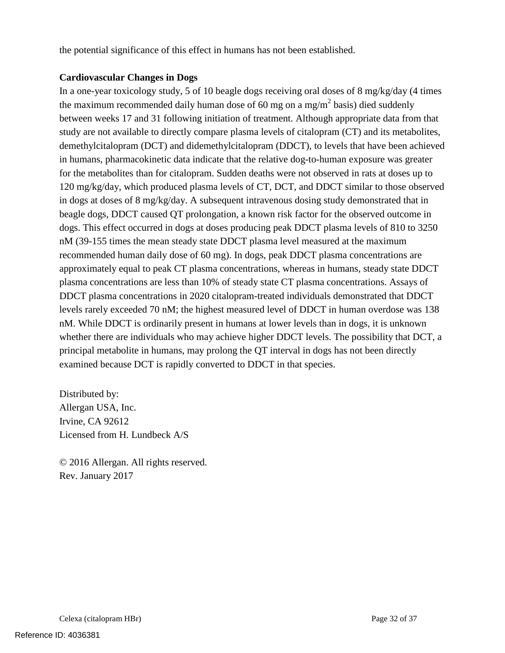the potential significance of this effect in humans has not been established.

## **Cardiovascular Changes in Dogs**

 between weeks 17 and 31 following initiation of treatment. Although appropriate data from that In a one-year toxicology study, 5 of 10 beagle dogs receiving oral doses of 8 mg/kg/day (4 times the maximum recommended daily human dose of 60 mg on a mg/m<sup>2</sup> basis) died suddenly study are not available to directly compare plasma levels of citalopram (CT) and its metabolites, demethylcitalopram (DCT) and didemethylcitalopram (DDCT), to levels that have been achieved in humans, pharmacokinetic data indicate that the relative dog-to-human exposure was greater for the metabolites than for citalopram. Sudden deaths were not observed in rats at doses up to 120 mg/kg/day, which produced plasma levels of CT, DCT, and DDCT similar to those observed in dogs at doses of 8 mg/kg/day. A subsequent intravenous dosing study demonstrated that in beagle dogs, DDCT caused QT prolongation, a known risk factor for the observed outcome in dogs. This effect occurred in dogs at doses producing peak DDCT plasma levels of 810 to 3250 nM (39-155 times the mean steady state DDCT plasma level measured at the maximum recommended human daily dose of 60 mg). In dogs, peak DDCT plasma concentrations are approximately equal to peak CT plasma concentrations, whereas in humans, steady state DDCT plasma concentrations are less than 10% of steady state CT plasma concentrations. Assays of DDCT plasma concentrations in 2020 citalopram-treated individuals demonstrated that DDCT levels rarely exceeded 70 nM; the highest measured level of DDCT in human overdose was 138 nM. While DDCT is ordinarily present in humans at lower levels than in dogs, it is unknown whether there are individuals who may achieve higher DDCT levels. The possibility that DCT, a principal metabolite in humans, may prolong the QT interval in dogs has not been directly examined because DCT is rapidly converted to DDCT in that species.

Distributed by: Allergan USA, Inc. Irvine, CA 92612 Licensed from H. Lundbeck A/S

 Rev. January 2017 © 2016 Allergan. All rights reserved.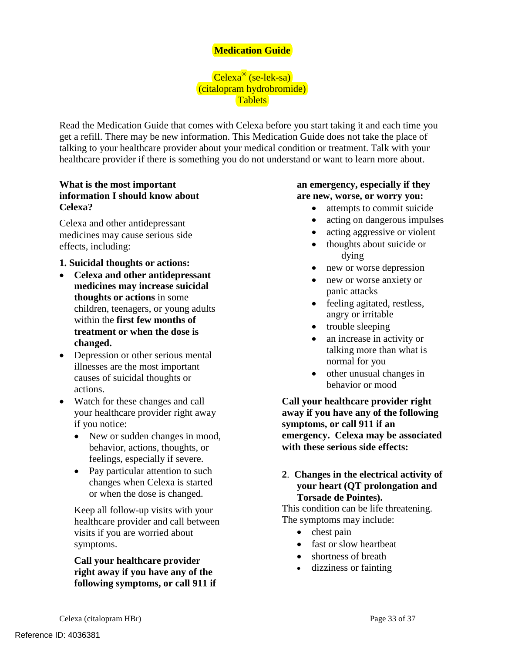# **Medication Guide**

 Celexa® (se-lek-sa) (citalopram hydrobromide) **Tablets** 

 talking to your healthcare provider about your medical condition or treatment. Talk with your healthcare provider if there is something you do not understand or want to learn more about. Read the Medication Guide that comes with Celexa before you start taking it and each time you get a refill. There may be new information. This Medication Guide does not take the place of

#### **information I should know about are new, worse, or worry you:** What is the most important and an emergency, especially if they **Celexa?** • attempts to commit suicide

effects, including: Celexa and other antidepressant<br>
medicines may cause serious side<br>  $\bullet$  acting aggressive or violent<br>  $\bullet$  acting aggressive or violent medicines may cause serious side • **action** aggressive or violent or violent or violent or violent or **v** 

- 1. Suicidal thoughts or actions:
- dying **1. Suicidal thoughts or actions:** • new or worse depression • **Celexa and other antidepressant** • new or worse anxiety or **medicines may increase suicidal** panic attacks **thoughts or actions** in some • feeling agitated, restless, children, teenagers, or young adults angry or irritable within the **first few months of** • trouble sleeping **treatment or when the dose is** • an increase in activity or **changed.** talking more than what is • Depression or other serious mental normal for you illnesses are the most important • other unusual changes in causes of suicidal thoughts or behavior or mood actions.
- 
- Watch for these changes and call your healthcare provider right away if you notice:
	- behavior, actions, thoughts, or feelings, especially if severe.
	- or when the dose is changed. **Torsade de Pointes).**

healthcare provider and call between visits if you are worried about • chest pain symptoms. • fast or slow heartbeat

**Call your healthcare provider •** shortness of breath **right away if you have any of the** *right away if you have any of the*  **following symptoms, or call 911 if**

- 
- 
- 
- thoughts about suicide or<br>dying
- 
- 
- 
- 
- talking more than what is normal for you
- 

**Call your healthcare provider right** away if you have any of the following symptoms, or call 911 if an • New or sudden changes in mood,<br> **emergency. Celexa may be associated**<br> **emergency. Celexa may be associated**<br> **with these serious side effects:** 

• Pay particular attention to such **2**. **Changes in the electrical activity of** changes when Celexa is started **your heart (QT prolongation and** 

Keep all follow-up visits with your<br>  $\begin{array}{ccc}\n\text{This condition can be life threading.} \\
\text{the symptoms may include:}\n\end{array}$ 

- 
- 
- shortness of breath
- dizziness or fainting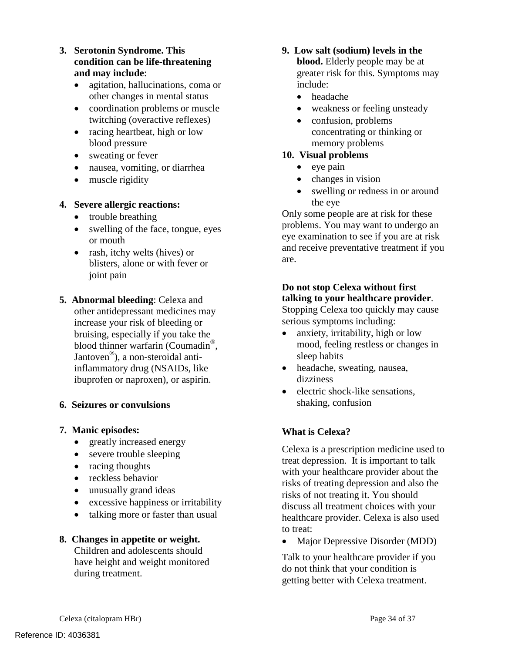- **3. Serotonin Syndrome. This condition can be life-threatening and may include**:
	- agitation, hallucinations, coma or other changes in mental status
	- coordination problems or muscle twitching (overactive reflexes)
	- racing heartbeat, high or low blood pressure
	- sweating or fever
	- nausea, vomiting, or diarrhea
	- muscle rigidity

#### **4. Severe allergic reactions:**

- trouble breathing
- swelling of the face, tongue, eyes or mouth
- rash, itchy welts (hives) or blisters, alone or with fever or joint pain
- **5. Abnormal bleeding**: Celexa and other antidepressant medicines may increase your risk of bleeding or bruising, especially if you take the blood thinner warfarin (Coumadin<sup>®</sup>, Jantoven®), a non-steroidal antiinflammatory drug (NSAIDs, like ibuprofen or naproxen), or aspirin.

## **6. Seizures or convulsions**

#### **7. Manic episodes:**

- greatly increased energy
- severe trouble sleeping
- racing thoughts
- reckless behavior
- unusually grand ideas
- excessive happiness or irritability
- talking more or faster than usual

#### **8. Changes in appetite or weight.**

Children and adolescents should have height and weight monitored during treatment.

- **blood.** Elderly people may be at include: **9. Low salt (sodium) levels in the**  greater risk for this. Symptoms may
	- • headache
	- weakness or feeling unsteady
	- confusion, problems concentrating or thinking or memory problems

## **10. Visual problems**

- eye pain
- changes in vision
- swelling or redness in or around the eye

 and receive preventative treatment if you Only some people are at risk for these problems. You may want to undergo an eye examination to see if you are at risk are.

#### Stopping Celexa too quickly may cause **Do not stop Celexa without first talking to your healthcare provider**.

serious symptoms including:

- anxiety, irritability, high or low mood, feeling restless or changes in sleep habits
- headache, sweating, nausea, dizziness
- electric shock-like sensations, shaking, confusion

## **What is Celexa?**

 discuss all treatment choices with your  to treat: Celexa is a prescription medicine used to treat depression. It is important to talk with your healthcare provider about the risks of treating depression and also the risks of not treating it. You should healthcare provider. Celexa is also used

• Major Depressive Disorder (MDD)

Talk to your healthcare provider if you do not think that your condition is getting better with Celexa treatment.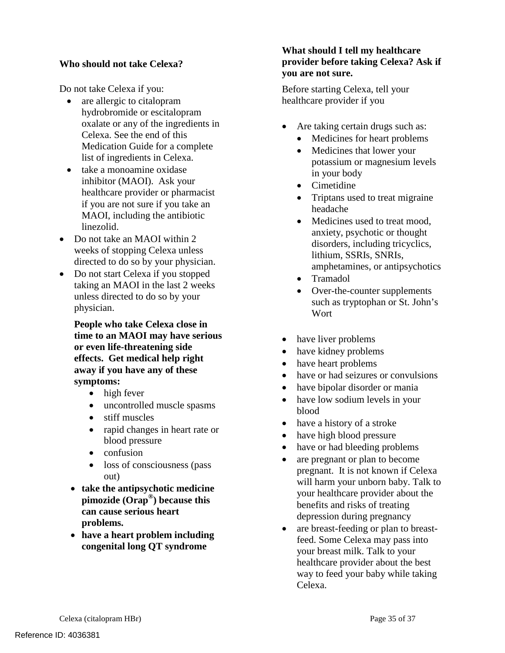## **Who should not take Celexa?**

Do not take Celexa if you:

- oxalate or any of the ingredients in Medication Guide for a complete • are allergic to citalopram hydrobromide or escitalopram Celexa. See the end of this list of ingredients in Celexa.
- take a monoamine oxidase inhibitor (MAOI). Ask your healthcare provider or pharmacist if you are not sure if you take an MAOI, including the antibiotic linezolid.
- weeks of stopping Celexa unless directed to do so by your physician. • Do not take an MAOI within 2
- unless directed to do so by your • Do not start Celexa if you stopped taking an MAOI in the last 2 weeks physician.

 **symptoms: People who take Celexa close in time to an MAOI may have serious or even life-threatening side effects. Get medical help right away if you have any of these** 

- high fever
- uncontrolled muscle spasms
- stiff muscles
- rapid changes in heart rate or blood pressure
- confusion
- out) • loss of consciousness (pass
- • **take the antipsychotic medicine pimozide (Orap®) because this can cause serious heart problems.**
- • **have a heart problem including congenital long QT syndrome**

## **What should I tell my healthcare provider before taking Celexa? Ask if you are not sure.**

 healthcare provider if you Before starting Celexa, tell your

- Are taking certain drugs such as:
	- Medicines for heart problems
	- Medicines that lower your potassium or magnesium levels in your body
	- • Cimetidine
	- Triptans used to treat migraine headache
	- Medicines used to treat mood, anxiety, psychotic or thought disorders, including tricyclics, lithium, SSRIs, SNRIs, amphetamines, or antipsychotics
	- Tramadol
	- Over-the-counter supplements such as tryptophan or St. John's Wort
- have liver problems
- have kidney problems
- have heart problems
- have or had seizures or convulsions
- have bipolar disorder or mania
- have low sodium levels in your blood
- have a history of a stroke
- have high blood pressure
- have or had bleeding problems
- your healthcare provider about the • are pregnant or plan to become pregnant. It is not known if Celexa will harm your unborn baby. Talk to benefits and risks of treating depression during pregnancy
- feed. Some Celexa may pass into Celexa. are breast-feeding or plan to breastyour breast milk. Talk to your healthcare provider about the best way to feed your baby while taking Celexa.<br>Celexa (citalopram HBr) Page 35 of 37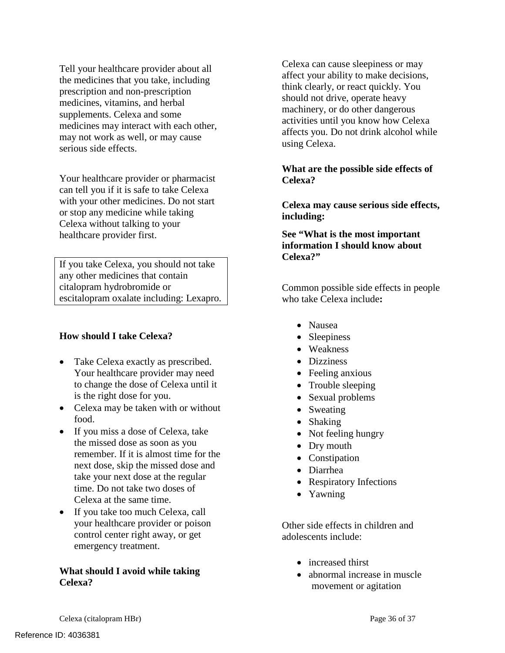may not work as well, or may cause serious side effects. Tell your healthcare provider about all the medicines that you take, including prescription and non-prescription medicines, vitamins, and herbal supplements. Celexa and some medicines may interact with each other,

Your healthcare provider or pharmacist can tell you if it is safe to take Celexa with your other medicines. Do not start or stop any medicine while taking Celexa without talking to your healthcare provider first.

If you take Celexa, you should not take any other medicines that contain citalopram hydrobromide or escitalopram oxalate including: Lexapro.

## **How should I take Celexa?**

- is the right dose for you. • Take Celexa exactly as prescribed. Your healthcare provider may need to change the dose of Celexa until it
- Celexa may be taken with or without food.
- If you miss a dose of Celexa, take the missed dose as soon as you remember. If it is almost time for the next dose, skip the missed dose and take your next dose at the regular time. Do not take two doses of Celexa at the same time.
- If you take too much Celexa, call your healthcare provider or poison control center right away, or get emergency treatment.

## **What should I avoid while taking Celexa?**

 should not drive, operate heavy activities until you know how Celexa Celexa can cause sleepiness or may affect your ability to make decisions, think clearly, or react quickly. You machinery, or do other dangerous affects you. Do not drink alcohol while using Celexa.

#### **What are the possible side effects of Celexa?**

**Celexa may cause serious side effects, including:** 

**See "What is the most important information I should know about Celexa?"** 

Common possible side effects in people who take Celexa include**:** 

- Nausea
- Sleepiness
- Weakness
- Dizziness
- Feeling anxious
- Trouble sleeping
- Sexual problems
- Sweating
- Shaking
- Not feeling hungry
- Dry mouth
- Constipation
- Diarrhea
- Respiratory Infections
- Yawning

Other side effects in children and adolescents include:

- increased thirst
- abnormal increase in muscle movement or agitation